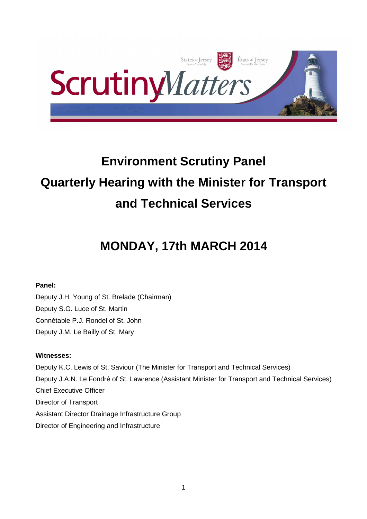

# **Environment Scrutiny Panel Quarterly Hearing with the Minister for Transport and Technical Services**

# **MONDAY, 17th MARCH 2014**

# **Panel:**

Deputy J.H. Young of St. Brelade (Chairman) Deputy S.G. Luce of St. Martin Connétable P.J. Rondel of St. John Deputy J.M. Le Bailly of St. Mary

# **Witnesses:**

Deputy K.C. Lewis of St. Saviour (The Minister for Transport and Technical Services) Deputy J.A.N. Le Fondré of St. Lawrence (Assistant Minister for Transport and Technical Services) Chief Executive Officer Director of Transport Assistant Director Drainage Infrastructure Group Director of Engineering and Infrastructure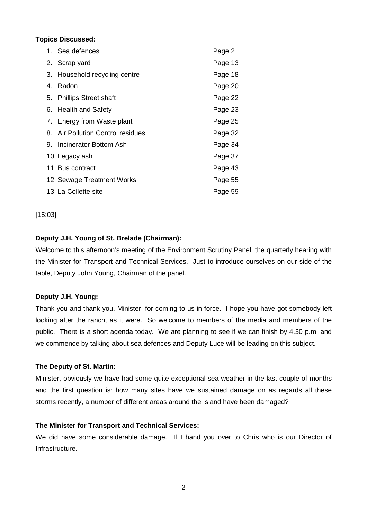# **Topics Discussed:**

|                            | 1. Sea defences                   | Page 2  |
|----------------------------|-----------------------------------|---------|
|                            | 2. Scrap yard                     | Page 13 |
|                            | 3. Household recycling centre     | Page 18 |
|                            | 4. Radon                          | Page 20 |
|                            | 5. Phillips Street shaft          | Page 22 |
|                            | 6. Health and Safety              | Page 23 |
|                            | 7. Energy from Waste plant        | Page 25 |
|                            | 8. Air Pollution Control residues | Page 32 |
|                            | 9. Incinerator Bottom Ash         | Page 34 |
| 10. Legacy ash             |                                   | Page 37 |
| 11. Bus contract           |                                   | Page 43 |
| 12. Sewage Treatment Works |                                   | Page 55 |
| 13. La Collette site       |                                   | Page 59 |

#### [15:03]

# **Deputy J.H. Young of St. Brelade (Chairman):**

Welcome to this afternoon's meeting of the Environment Scrutiny Panel, the quarterly hearing with the Minister for Transport and Technical Services. Just to introduce ourselves on our side of the table, Deputy John Young, Chairman of the panel.

#### **Deputy J.H. Young:**

Thank you and thank you, Minister, for coming to us in force. I hope you have got somebody left looking after the ranch, as it were. So welcome to members of the media and members of the public. There is a short agenda today. We are planning to see if we can finish by 4.30 p.m. and we commence by talking about sea defences and Deputy Luce will be leading on this subject.

#### **The Deputy of St. Martin:**

Minister, obviously we have had some quite exceptional sea weather in the last couple of months and the first question is: how many sites have we sustained damage on as regards all these storms recently, a number of different areas around the Island have been damaged?

#### **The Minister for Transport and Technical Services:**

We did have some considerable damage. If I hand you over to Chris who is our Director of **Infrastructure**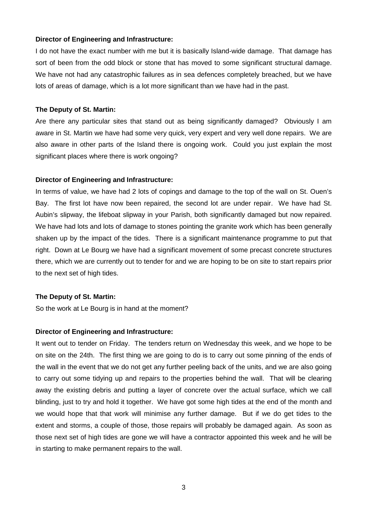I do not have the exact number with me but it is basically Island-wide damage. That damage has sort of been from the odd block or stone that has moved to some significant structural damage. We have not had any catastrophic failures as in sea defences completely breached, but we have lots of areas of damage, which is a lot more significant than we have had in the past.

#### **The Deputy of St. Martin:**

Are there any particular sites that stand out as being significantly damaged? Obviously I am aware in St. Martin we have had some very quick, very expert and very well done repairs. We are also aware in other parts of the Island there is ongoing work. Could you just explain the most significant places where there is work ongoing?

#### **Director of Engineering and Infrastructure:**

In terms of value, we have had 2 lots of copings and damage to the top of the wall on St. Ouen's Bay. The first lot have now been repaired, the second lot are under repair. We have had St. Aubin's slipway, the lifeboat slipway in your Parish, both significantly damaged but now repaired. We have had lots and lots of damage to stones pointing the granite work which has been generally shaken up by the impact of the tides. There is a significant maintenance programme to put that right. Down at Le Bourg we have had a significant movement of some precast concrete structures there, which we are currently out to tender for and we are hoping to be on site to start repairs prior to the next set of high tides.

#### **The Deputy of St. Martin:**

So the work at Le Bourg is in hand at the moment?

#### **Director of Engineering and Infrastructure:**

It went out to tender on Friday. The tenders return on Wednesday this week, and we hope to be on site on the 24th. The first thing we are going to do is to carry out some pinning of the ends of the wall in the event that we do not get any further peeling back of the units, and we are also going to carry out some tidying up and repairs to the properties behind the wall. That will be clearing away the existing debris and putting a layer of concrete over the actual surface, which we call blinding, just to try and hold it together. We have got some high tides at the end of the month and we would hope that that work will minimise any further damage. But if we do get tides to the extent and storms, a couple of those, those repairs will probably be damaged again. As soon as those next set of high tides are gone we will have a contractor appointed this week and he will be in starting to make permanent repairs to the wall.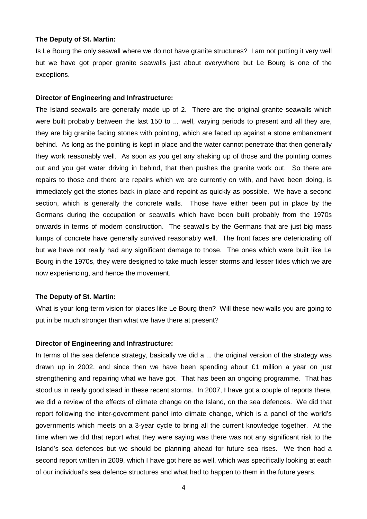Is Le Bourg the only seawall where we do not have granite structures? I am not putting it very well but we have got proper granite seawalls just about everywhere but Le Bourg is one of the exceptions.

#### **Director of Engineering and Infrastructure:**

The Island seawalls are generally made up of 2. There are the original granite seawalls which were built probably between the last 150 to ... well, varying periods to present and all they are, they are big granite facing stones with pointing, which are faced up against a stone embankment behind. As long as the pointing is kept in place and the water cannot penetrate that then generally they work reasonably well. As soon as you get any shaking up of those and the pointing comes out and you get water driving in behind, that then pushes the granite work out. So there are repairs to those and there are repairs which we are currently on with, and have been doing, is immediately get the stones back in place and repoint as quickly as possible. We have a second section, which is generally the concrete walls. Those have either been put in place by the Germans during the occupation or seawalls which have been built probably from the 1970s onwards in terms of modern construction. The seawalls by the Germans that are just big mass lumps of concrete have generally survived reasonably well. The front faces are deteriorating off but we have not really had any significant damage to those. The ones which were built like Le Bourg in the 1970s, they were designed to take much lesser storms and lesser tides which we are now experiencing, and hence the movement.

#### **The Deputy of St. Martin:**

What is your long-term vision for places like Le Bourg then? Will these new walls you are going to put in be much stronger than what we have there at present?

#### **Director of Engineering and Infrastructure:**

In terms of the sea defence strategy, basically we did a ... the original version of the strategy was drawn up in 2002, and since then we have been spending about £1 million a year on just strengthening and repairing what we have got. That has been an ongoing programme. That has stood us in really good stead in these recent storms. In 2007, I have got a couple of reports there, we did a review of the effects of climate change on the Island, on the sea defences. We did that report following the inter-government panel into climate change, which is a panel of the world's governments which meets on a 3-year cycle to bring all the current knowledge together. At the time when we did that report what they were saying was there was not any significant risk to the Island's sea defences but we should be planning ahead for future sea rises. We then had a second report written in 2009, which I have got here as well, which was specifically looking at each of our individual's sea defence structures and what had to happen to them in the future years.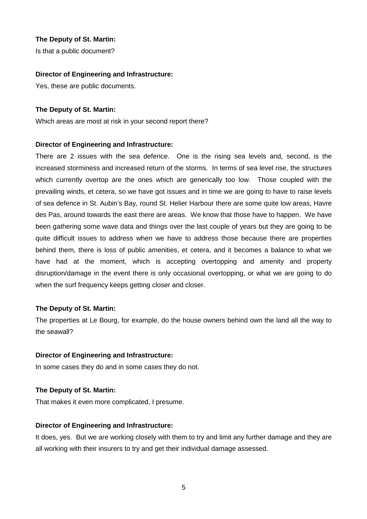Is that a public document?

#### **Director of Engineering and Infrastructure:**

Yes, these are public documents.

#### **The Deputy of St. Martin:**

Which areas are most at risk in your second report there?

#### **Director of Engineering and Infrastructure:**

There are 2 issues with the sea defence. One is the rising sea levels and, second, is the increased storminess and increased return of the storms. In terms of sea level rise, the structures which currently overtop are the ones which are generically too low. Those coupled with the prevailing winds, et cetera, so we have got issues and in time we are going to have to raise levels of sea defence in St. Aubin's Bay, round St. Helier Harbour there are some quite low areas, Havre des Pas, around towards the east there are areas. We know that those have to happen. We have been gathering some wave data and things over the last couple of years but they are going to be quite difficult issues to address when we have to address those because there are properties behind them, there is loss of public amenities, et cetera, and it becomes a balance to what we have had at the moment, which is accepting overtopping and amenity and property disruption/damage in the event there is only occasional overtopping, or what we are going to do when the surf frequency keeps getting closer and closer.

#### **The Deputy of St. Martin:**

The properties at Le Bourg, for example, do the house owners behind own the land all the way to the seawall?

#### **Director of Engineering and Infrastructure:**

In some cases they do and in some cases they do not.

#### **The Deputy of St. Martin:**

That makes it even more complicated, I presume.

#### **Director of Engineering and Infrastructure:**

It does, yes. But we are working closely with them to try and limit any further damage and they are all working with their insurers to try and get their individual damage assessed.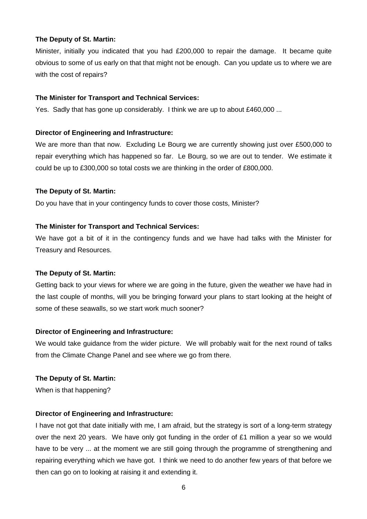Minister, initially you indicated that you had £200,000 to repair the damage. It became quite obvious to some of us early on that that might not be enough. Can you update us to where we are with the cost of repairs?

#### **The Minister for Transport and Technical Services:**

Yes. Sadly that has gone up considerably. I think we are up to about £460,000 ...

#### **Director of Engineering and Infrastructure:**

We are more than that now. Excluding Le Bourg we are currently showing just over £500,000 to repair everything which has happened so far. Le Bourg, so we are out to tender. We estimate it could be up to £300,000 so total costs we are thinking in the order of £800,000.

#### **The Deputy of St. Martin:**

Do you have that in your contingency funds to cover those costs, Minister?

#### **The Minister for Transport and Technical Services:**

We have got a bit of it in the contingency funds and we have had talks with the Minister for Treasury and Resources.

#### **The Deputy of St. Martin:**

Getting back to your views for where we are going in the future, given the weather we have had in the last couple of months, will you be bringing forward your plans to start looking at the height of some of these seawalls, so we start work much sooner?

#### **Director of Engineering and Infrastructure:**

We would take guidance from the wider picture. We will probably wait for the next round of talks from the Climate Change Panel and see where we go from there.

#### **The Deputy of St. Martin:**

When is that happening?

#### **Director of Engineering and Infrastructure:**

I have not got that date initially with me, I am afraid, but the strategy is sort of a long-term strategy over the next 20 years. We have only got funding in the order of  $£1$  million a year so we would have to be very ... at the moment we are still going through the programme of strengthening and repairing everything which we have got. I think we need to do another few years of that before we then can go on to looking at raising it and extending it.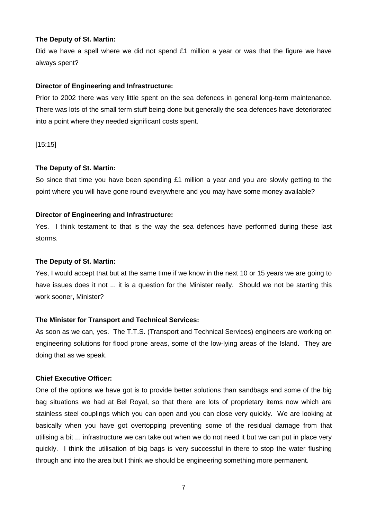Did we have a spell where we did not spend  $£1$  million a year or was that the figure we have always spent?

#### **Director of Engineering and Infrastructure:**

Prior to 2002 there was very little spent on the sea defences in general long-term maintenance. There was lots of the small term stuff being done but generally the sea defences have deteriorated into a point where they needed significant costs spent.

[15:15]

#### **The Deputy of St. Martin:**

So since that time you have been spending £1 million a year and you are slowly getting to the point where you will have gone round everywhere and you may have some money available?

#### **Director of Engineering and Infrastructure:**

Yes. I think testament to that is the way the sea defences have performed during these last storms.

#### **The Deputy of St. Martin:**

Yes, I would accept that but at the same time if we know in the next 10 or 15 years we are going to have issues does it not ... it is a question for the Minister really. Should we not be starting this work sooner, Minister?

#### **The Minister for Transport and Technical Services:**

As soon as we can, yes. The T.T.S. (Transport and Technical Services) engineers are working on engineering solutions for flood prone areas, some of the low-lying areas of the Island. They are doing that as we speak.

#### **Chief Executive Officer:**

One of the options we have got is to provide better solutions than sandbags and some of the big bag situations we had at Bel Royal, so that there are lots of proprietary items now which are stainless steel couplings which you can open and you can close very quickly. We are looking at basically when you have got overtopping preventing some of the residual damage from that utilising a bit ... infrastructure we can take out when we do not need it but we can put in place very quickly. I think the utilisation of big bags is very successful in there to stop the water flushing through and into the area but I think we should be engineering something more permanent.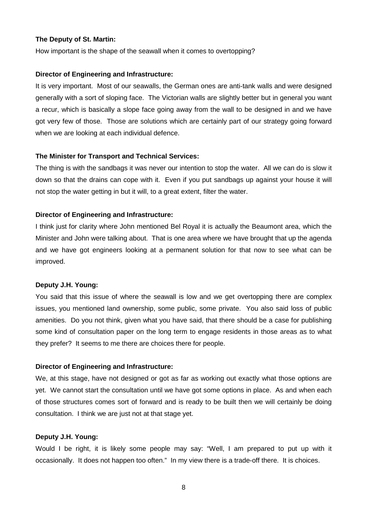How important is the shape of the seawall when it comes to overtopping?

#### **Director of Engineering and Infrastructure:**

It is very important. Most of our seawalls, the German ones are anti-tank walls and were designed generally with a sort of sloping face. The Victorian walls are slightly better but in general you want a recur, which is basically a slope face going away from the wall to be designed in and we have got very few of those. Those are solutions which are certainly part of our strategy going forward when we are looking at each individual defence.

#### **The Minister for Transport and Technical Services:**

The thing is with the sandbags it was never our intention to stop the water. All we can do is slow it down so that the drains can cope with it. Even if you put sandbags up against your house it will not stop the water getting in but it will, to a great extent, filter the water.

#### **Director of Engineering and Infrastructure:**

I think just for clarity where John mentioned Bel Royal it is actually the Beaumont area, which the Minister and John were talking about. That is one area where we have brought that up the agenda and we have got engineers looking at a permanent solution for that now to see what can be improved.

#### **Deputy J.H. Young:**

You said that this issue of where the seawall is low and we get overtopping there are complex issues, you mentioned land ownership, some public, some private. You also said loss of public amenities. Do you not think, given what you have said, that there should be a case for publishing some kind of consultation paper on the long term to engage residents in those areas as to what they prefer? It seems to me there are choices there for people.

#### **Director of Engineering and Infrastructure:**

We, at this stage, have not designed or got as far as working out exactly what those options are yet. We cannot start the consultation until we have got some options in place. As and when each of those structures comes sort of forward and is ready to be built then we will certainly be doing consultation. I think we are just not at that stage yet.

#### **Deputy J.H. Young:**

Would I be right, it is likely some people may say: "Well, I am prepared to put up with it occasionally. It does not happen too often." In my view there is a trade-off there. It is choices.

8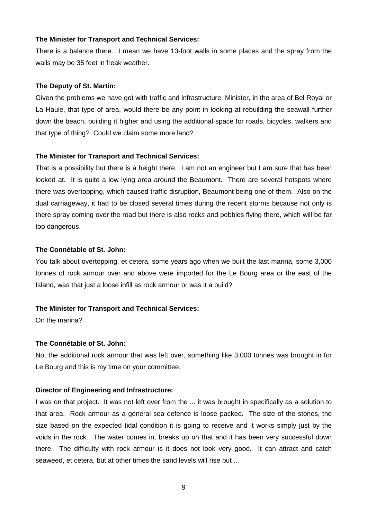#### **The Minister for Transport and Technical Services:**

There is a balance there. I mean we have 13-foot walls in some places and the spray from the walls may be 35 feet in freak weather.

#### **The Deputy of St. Martin:**

Given the problems we have got with traffic and infrastructure, Minister, in the area of Bel Royal or La Haule, that type of area, would there be any point in looking at rebuilding the seawall further down the beach, building it higher and using the additional space for roads, bicycles, walkers and that type of thing? Could we claim some more land?

#### **The Minister for Transport and Technical Services:**

That is a possibility but there is a height there. I am not an engineer but I am sure that has been looked at. It is quite a low lying area around the Beaumont. There are several hotspots where there was overtopping, which caused traffic disruption, Beaumont being one of them. Also on the dual carriageway, it had to be closed several times during the recent storms because not only is there spray coming over the road but there is also rocks and pebbles flying there, which will be far too dangerous.

#### **The Connétable of St. John:**

You talk about overtopping, et cetera, some years ago when we built the last marina, some 3,000 tonnes of rock armour over and above were imported for the Le Bourg area or the east of the Island, was that just a loose infill as rock armour or was it a build?

#### **The Minister for Transport and Technical Services:**

On the marina?

#### **The Connétable of St. John:**

No, the additional rock armour that was left over, something like 3,000 tonnes was brought in for Le Bourg and this is my time on your committee.

#### **Director of Engineering and Infrastructure:**

I was on that project. It was not left over from the ... it was brought in specifically as a solution to that area. Rock armour as a general sea defence is loose packed. The size of the stones, the size based on the expected tidal condition it is going to receive and it works simply just by the voids in the rock. The water comes in, breaks up on that and it has been very successful down there. The difficulty with rock armour is it does not look very good. It can attract and catch seaweed, et cetera, but at other times the sand levels will rise but ...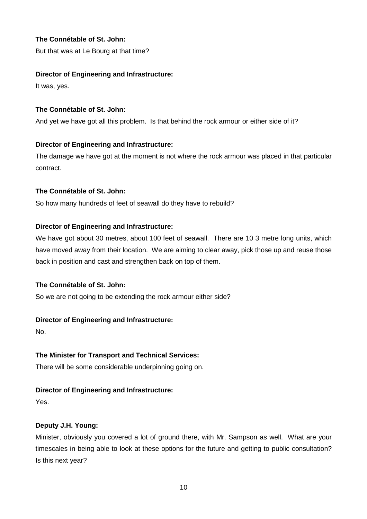# **The Connétable of St. John:**

But that was at Le Bourg at that time?

# **Director of Engineering and Infrastructure:**

It was, yes.

# **The Connétable of St. John:**

And yet we have got all this problem. Is that behind the rock armour or either side of it?

# **Director of Engineering and Infrastructure:**

The damage we have got at the moment is not where the rock armour was placed in that particular contract.

# **The Connétable of St. John:**

So how many hundreds of feet of seawall do they have to rebuild?

# **Director of Engineering and Infrastructure:**

We have got about 30 metres, about 100 feet of seawall. There are 10 3 metre long units, which have moved away from their location. We are aiming to clear away, pick those up and reuse those back in position and cast and strengthen back on top of them.

# **The Connétable of St. John:**

So we are not going to be extending the rock armour either side?

# **Director of Engineering and Infrastructure:**

No.

# **The Minister for Transport and Technical Services:**

There will be some considerable underpinning going on.

# **Director of Engineering and Infrastructure:**

Yes.

# **Deputy J.H. Young:**

Minister, obviously you covered a lot of ground there, with Mr. Sampson as well. What are your timescales in being able to look at these options for the future and getting to public consultation? Is this next year?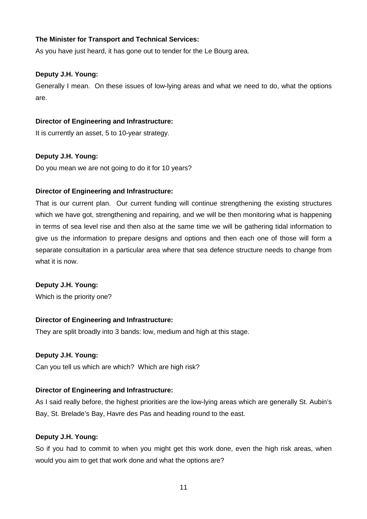## **The Minister for Transport and Technical Services:**

As you have just heard, it has gone out to tender for the Le Bourg area.

#### **Deputy J.H. Young:**

Generally I mean. On these issues of low-lying areas and what we need to do, what the options are.

#### **Director of Engineering and Infrastructure:**

It is currently an asset, 5 to 10-year strategy.

#### **Deputy J.H. Young:**

Do you mean we are not going to do it for 10 years?

#### **Director of Engineering and Infrastructure:**

That is our current plan. Our current funding will continue strengthening the existing structures which we have got, strengthening and repairing, and we will be then monitoring what is happening in terms of sea level rise and then also at the same time we will be gathering tidal information to give us the information to prepare designs and options and then each one of those will form a separate consultation in a particular area where that sea defence structure needs to change from what it is now.

#### **Deputy J.H. Young:**

Which is the priority one?

#### **Director of Engineering and Infrastructure:**

They are split broadly into 3 bands: low, medium and high at this stage.

#### **Deputy J.H. Young:**

Can you tell us which are which? Which are high risk?

#### **Director of Engineering and Infrastructure:**

As I said really before, the highest priorities are the low-lying areas which are generally St. Aubin's Bay, St. Brelade's Bay, Havre des Pas and heading round to the east.

#### **Deputy J.H. Young:**

So if you had to commit to when you might get this work done, even the high risk areas, when would you aim to get that work done and what the options are?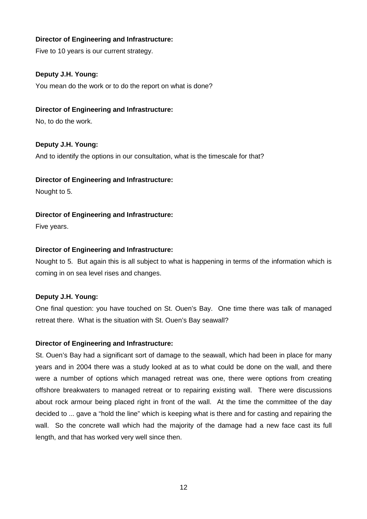Five to 10 years is our current strategy.

# **Deputy J.H. Young:**

You mean do the work or to do the report on what is done?

## **Director of Engineering and Infrastructure:**

No, to do the work.

# **Deputy J.H. Young:**

And to identify the options in our consultation, what is the timescale for that?

#### **Director of Engineering and Infrastructure:**

Nought to 5.

# **Director of Engineering and Infrastructure:**

Five years.

#### **Director of Engineering and Infrastructure:**

Nought to 5. But again this is all subject to what is happening in terms of the information which is coming in on sea level rises and changes.

#### **Deputy J.H. Young:**

One final question: you have touched on St. Ouen's Bay. One time there was talk of managed retreat there. What is the situation with St. Ouen's Bay seawall?

#### **Director of Engineering and Infrastructure:**

St. Ouen's Bay had a significant sort of damage to the seawall, which had been in place for many years and in 2004 there was a study looked at as to what could be done on the wall, and there were a number of options which managed retreat was one, there were options from creating offshore breakwaters to managed retreat or to repairing existing wall. There were discussions about rock armour being placed right in front of the wall. At the time the committee of the day decided to ... gave a "hold the line" which is keeping what is there and for casting and repairing the wall. So the concrete wall which had the majority of the damage had a new face cast its full length, and that has worked very well since then.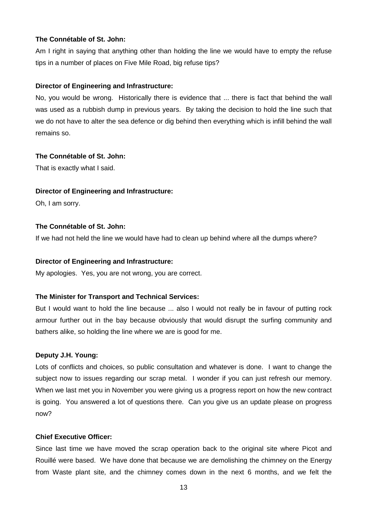#### **The Connétable of St. John:**

Am I right in saying that anything other than holding the line we would have to empty the refuse tips in a number of places on Five Mile Road, big refuse tips?

#### **Director of Engineering and Infrastructure:**

No, you would be wrong. Historically there is evidence that ... there is fact that behind the wall was used as a rubbish dump in previous years. By taking the decision to hold the line such that we do not have to alter the sea defence or dig behind then everything which is infill behind the wall remains so.

#### **The Connétable of St. John:**

That is exactly what I said.

#### **Director of Engineering and Infrastructure:**

Oh, I am sorry.

### **The Connétable of St. John:**

If we had not held the line we would have had to clean up behind where all the dumps where?

#### **Director of Engineering and Infrastructure:**

My apologies. Yes, you are not wrong, you are correct.

#### **The Minister for Transport and Technical Services:**

But I would want to hold the line because ... also I would not really be in favour of putting rock armour further out in the bay because obviously that would disrupt the surfing community and bathers alike, so holding the line where we are is good for me.

#### **Deputy J.H. Young:**

Lots of conflicts and choices, so public consultation and whatever is done. I want to change the subject now to issues regarding our scrap metal. I wonder if you can just refresh our memory. When we last met you in November you were giving us a progress report on how the new contract is going. You answered a lot of questions there. Can you give us an update please on progress now?

#### **Chief Executive Officer:**

Since last time we have moved the scrap operation back to the original site where Picot and Rouillé were based. We have done that because we are demolishing the chimney on the Energy from Waste plant site, and the chimney comes down in the next 6 months, and we felt the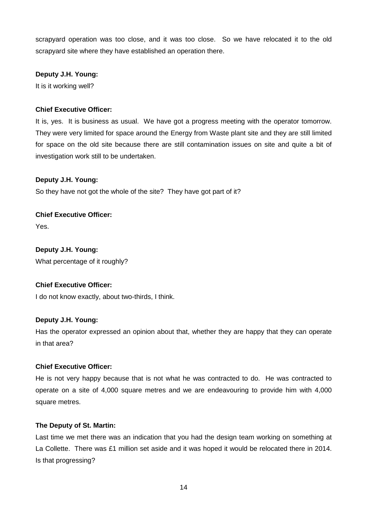scrapyard operation was too close, and it was too close. So we have relocated it to the old scrapyard site where they have established an operation there.

# **Deputy J.H. Young:**

It is it working well?

# **Chief Executive Officer:**

It is, yes. It is business as usual. We have got a progress meeting with the operator tomorrow. They were very limited for space around the Energy from Waste plant site and they are still limited for space on the old site because there are still contamination issues on site and quite a bit of investigation work still to be undertaken.

# **Deputy J.H. Young:**

So they have not got the whole of the site? They have got part of it?

**Chief Executive Officer:** Yes.

**Deputy J.H. Young:** What percentage of it roughly?

#### **Chief Executive Officer:**

I do not know exactly, about two-thirds, I think.

#### **Deputy J.H. Young:**

Has the operator expressed an opinion about that, whether they are happy that they can operate in that area?

#### **Chief Executive Officer:**

He is not very happy because that is not what he was contracted to do. He was contracted to operate on a site of 4,000 square metres and we are endeavouring to provide him with 4,000 square metres.

#### **The Deputy of St. Martin:**

Last time we met there was an indication that you had the design team working on something at La Collette. There was £1 million set aside and it was hoped it would be relocated there in 2014. Is that progressing?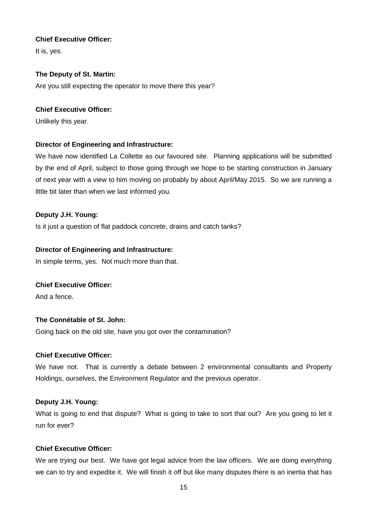# **Chief Executive Officer:**

It is, yes.

# **The Deputy of St. Martin:**

Are you still expecting the operator to move there this year?

# **Chief Executive Officer:**

Unlikely this year.

# **Director of Engineering and Infrastructure:**

We have now identified La Collette as our favoured site. Planning applications will be submitted by the end of April, subject to those going through we hope to be starting construction in January of next year with a view to him moving on probably by about April/May 2015. So we are running a little bit later than when we last informed you.

# **Deputy J.H. Young:**

Is it just a question of flat paddock concrete, drains and catch tanks?

# **Director of Engineering and Infrastructure:**

In simple terms, yes. Not much more than that.

# **Chief Executive Officer:**

And a fence.

# **The Connétable of St. John:**

Going back on the old site, have you got over the contamination?

# **Chief Executive Officer:**

We have not. That is currently a debate between 2 environmental consultants and Property Holdings, ourselves, the Environment Regulator and the previous operator.

# **Deputy J.H. Young:**

What is going to end that dispute? What is going to take to sort that out? Are you going to let it run for ever?

# **Chief Executive Officer:**

We are trying our best. We have got legal advice from the law officers. We are doing everything we can to try and expedite it. We will finish it off but like many disputes there is an inertia that has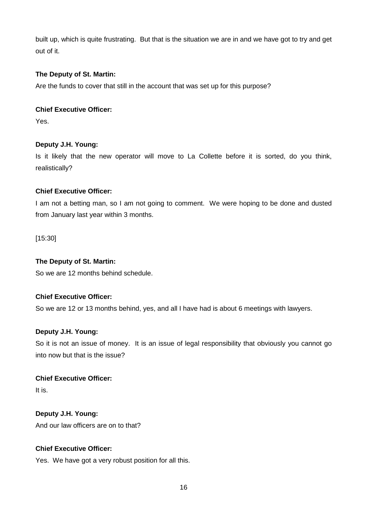built up, which is quite frustrating. But that is the situation we are in and we have got to try and get out of it.

# **The Deputy of St. Martin:**

Are the funds to cover that still in the account that was set up for this purpose?

# **Chief Executive Officer:**

Yes.

# **Deputy J.H. Young:**

Is it likely that the new operator will move to La Collette before it is sorted, do you think, realistically?

# **Chief Executive Officer:**

I am not a betting man, so I am not going to comment. We were hoping to be done and dusted from January last year within 3 months.

[15:30]

## **The Deputy of St. Martin:**

So we are 12 months behind schedule.

# **Chief Executive Officer:**

So we are 12 or 13 months behind, yes, and all I have had is about 6 meetings with lawyers.

#### **Deputy J.H. Young:**

So it is not an issue of money. It is an issue of legal responsibility that obviously you cannot go into now but that is the issue?

**Chief Executive Officer:**

It is.

# **Deputy J.H. Young:**

And our law officers are on to that?

# **Chief Executive Officer:**

Yes. We have got a very robust position for all this.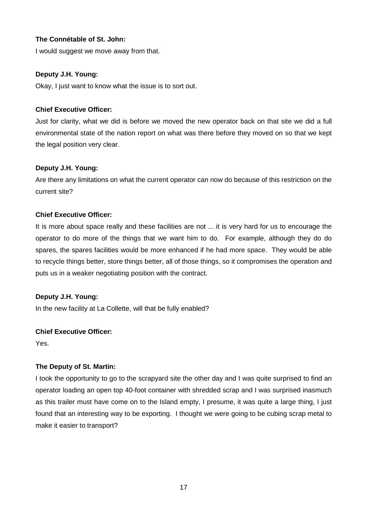# **The Connétable of St. John:**

I would suggest we move away from that.

## **Deputy J.H. Young:**

Okay, I just want to know what the issue is to sort out.

# **Chief Executive Officer:**

Just for clarity, what we did is before we moved the new operator back on that site we did a full environmental state of the nation report on what was there before they moved on so that we kept the legal position very clear.

# **Deputy J.H. Young:**

Are there any limitations on what the current operator can now do because of this restriction on the current site?

# **Chief Executive Officer:**

It is more about space really and these facilities are not ... it is very hard for us to encourage the operator to do more of the things that we want him to do. For example, although they do do spares, the spares facilities would be more enhanced if he had more space. They would be able to recycle things better, store things better, all of those things, so it compromises the operation and puts us in a weaker negotiating position with the contract.

#### **Deputy J.H. Young:**

In the new facility at La Collette, will that be fully enabled?

# **Chief Executive Officer:**

Yes.

# **The Deputy of St. Martin:**

I took the opportunity to go to the scrapyard site the other day and I was quite surprised to find an operator loading an open top 40-foot container with shredded scrap and I was surprised inasmuch as this trailer must have come on to the Island empty, I presume, it was quite a large thing, I just found that an interesting way to be exporting. I thought we were going to be cubing scrap metal to make it easier to transport?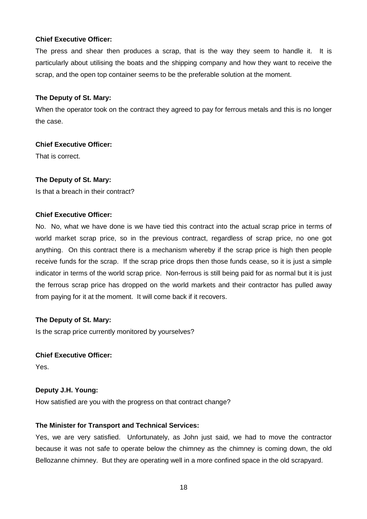## **Chief Executive Officer:**

The press and shear then produces a scrap, that is the way they seem to handle it. It is particularly about utilising the boats and the shipping company and how they want to receive the scrap, and the open top container seems to be the preferable solution at the moment.

#### **The Deputy of St. Mary:**

When the operator took on the contract they agreed to pay for ferrous metals and this is no longer the case.

# **Chief Executive Officer:**

That is correct.

# **The Deputy of St. Mary:**

Is that a breach in their contract?

# **Chief Executive Officer:**

No. No, what we have done is we have tied this contract into the actual scrap price in terms of world market scrap price, so in the previous contract, regardless of scrap price, no one got anything. On this contract there is a mechanism whereby if the scrap price is high then people receive funds for the scrap. If the scrap price drops then those funds cease, so it is just a simple indicator in terms of the world scrap price. Non-ferrous is still being paid for as normal but it is just the ferrous scrap price has dropped on the world markets and their contractor has pulled away from paying for it at the moment. It will come back if it recovers.

#### **The Deputy of St. Mary:**

Is the scrap price currently monitored by yourselves?

#### **Chief Executive Officer:**

Yes.

# **Deputy J.H. Young:**

How satisfied are you with the progress on that contract change?

# **The Minister for Transport and Technical Services:**

Yes, we are very satisfied. Unfortunately, as John just said, we had to move the contractor because it was not safe to operate below the chimney as the chimney is coming down, the old Bellozanne chimney. But they are operating well in a more confined space in the old scrapyard.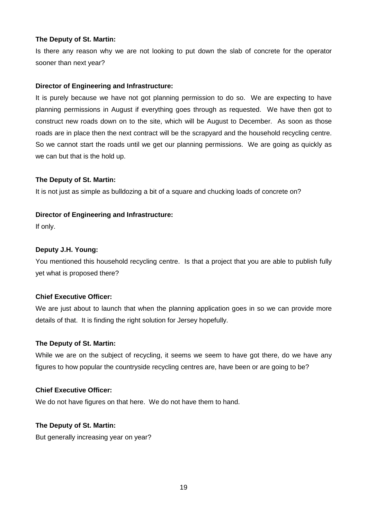Is there any reason why we are not looking to put down the slab of concrete for the operator sooner than next year?

# **Director of Engineering and Infrastructure:**

It is purely because we have not got planning permission to do so. We are expecting to have planning permissions in August if everything goes through as requested. We have then got to construct new roads down on to the site, which will be August to December. As soon as those roads are in place then the next contract will be the scrapyard and the household recycling centre. So we cannot start the roads until we get our planning permissions. We are going as quickly as we can but that is the hold up.

# **The Deputy of St. Martin:**

It is not just as simple as bulldozing a bit of a square and chucking loads of concrete on?

# **Director of Engineering and Infrastructure:**

If only.

# **Deputy J.H. Young:**

You mentioned this household recycling centre. Is that a project that you are able to publish fully yet what is proposed there?

# **Chief Executive Officer:**

We are just about to launch that when the planning application goes in so we can provide more details of that. It is finding the right solution for Jersey hopefully.

#### **The Deputy of St. Martin:**

While we are on the subject of recycling, it seems we seem to have got there, do we have any figures to how popular the countryside recycling centres are, have been or are going to be?

#### **Chief Executive Officer:**

We do not have figures on that here. We do not have them to hand.

#### **The Deputy of St. Martin:**

But generally increasing year on year?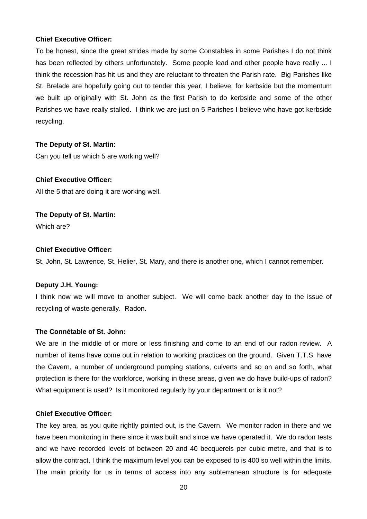#### **Chief Executive Officer:**

To be honest, since the great strides made by some Constables in some Parishes I do not think has been reflected by others unfortunately. Some people lead and other people have really ... I think the recession has hit us and they are reluctant to threaten the Parish rate. Big Parishes like St. Brelade are hopefully going out to tender this year, I believe, for kerbside but the momentum we built up originally with St. John as the first Parish to do kerbside and some of the other Parishes we have really stalled. I think we are just on 5 Parishes I believe who have got kerbside recycling.

#### **The Deputy of St. Martin:**

Can you tell us which 5 are working well?

#### **Chief Executive Officer:**

All the 5 that are doing it are working well.

# **The Deputy of St. Martin:**

Which are?

#### **Chief Executive Officer:**

St. John, St. Lawrence, St. Helier, St. Mary, and there is another one, which I cannot remember.

#### **Deputy J.H. Young:**

I think now we will move to another subject. We will come back another day to the issue of recycling of waste generally. Radon.

#### **The Connétable of St. John:**

We are in the middle of or more or less finishing and come to an end of our radon review. A number of items have come out in relation to working practices on the ground. Given T.T.S. have the Cavern, a number of underground pumping stations, culverts and so on and so forth, what protection is there for the workforce, working in these areas, given we do have build-ups of radon? What equipment is used? Is it monitored regularly by your department or is it not?

#### **Chief Executive Officer:**

The key area, as you quite rightly pointed out, is the Cavern. We monitor radon in there and we have been monitoring in there since it was built and since we have operated it. We do radon tests and we have recorded levels of between 20 and 40 becquerels per cubic metre, and that is to allow the contract, I think the maximum level you can be exposed to is 400 so well within the limits. The main priority for us in terms of access into any subterranean structure is for adequate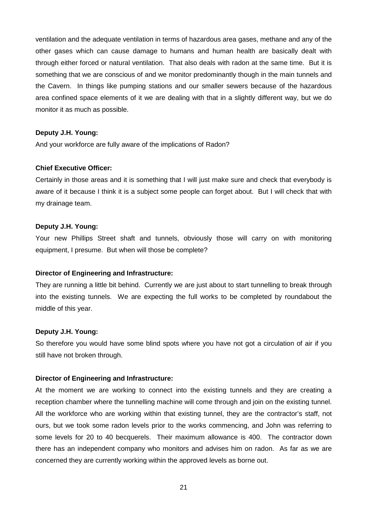ventilation and the adequate ventilation in terms of hazardous area gases, methane and any of the other gases which can cause damage to humans and human health are basically dealt with through either forced or natural ventilation. That also deals with radon at the same time. But it is something that we are conscious of and we monitor predominantly though in the main tunnels and the Cavern. In things like pumping stations and our smaller sewers because of the hazardous area confined space elements of it we are dealing with that in a slightly different way, but we do monitor it as much as possible.

#### **Deputy J.H. Young:**

And your workforce are fully aware of the implications of Radon?

#### **Chief Executive Officer:**

Certainly in those areas and it is something that I will just make sure and check that everybody is aware of it because I think it is a subject some people can forget about. But I will check that with my drainage team.

#### **Deputy J.H. Young:**

Your new Phillips Street shaft and tunnels, obviously those will carry on with monitoring equipment, I presume. But when will those be complete?

#### **Director of Engineering and Infrastructure:**

They are running a little bit behind. Currently we are just about to start tunnelling to break through into the existing tunnels. We are expecting the full works to be completed by roundabout the middle of this year.

#### **Deputy J.H. Young:**

So therefore you would have some blind spots where you have not got a circulation of air if you still have not broken through.

#### **Director of Engineering and Infrastructure:**

At the moment we are working to connect into the existing tunnels and they are creating a reception chamber where the tunnelling machine will come through and join on the existing tunnel. All the workforce who are working within that existing tunnel, they are the contractor's staff, not ours, but we took some radon levels prior to the works commencing, and John was referring to some levels for 20 to 40 becquerels. Their maximum allowance is 400. The contractor down there has an independent company who monitors and advises him on radon. As far as we are concerned they are currently working within the approved levels as borne out.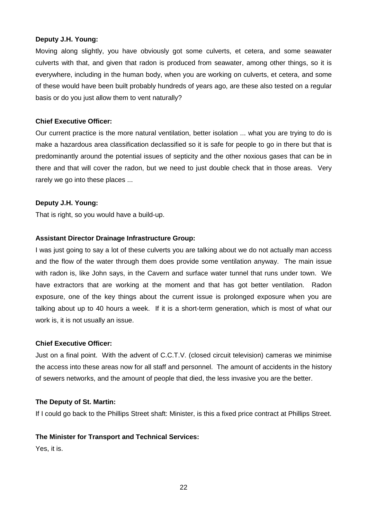#### **Deputy J.H. Young:**

Moving along slightly, you have obviously got some culverts, et cetera, and some seawater culverts with that, and given that radon is produced from seawater, among other things, so it is everywhere, including in the human body, when you are working on culverts, et cetera, and some of these would have been built probably hundreds of years ago, are these also tested on a regular basis or do you just allow them to vent naturally?

# **Chief Executive Officer:**

Our current practice is the more natural ventilation, better isolation ... what you are trying to do is make a hazardous area classification declassified so it is safe for people to go in there but that is predominantly around the potential issues of septicity and the other noxious gases that can be in there and that will cover the radon, but we need to just double check that in those areas. Very rarely we go into these places ...

# **Deputy J.H. Young:**

That is right, so you would have a build-up.

# **Assistant Director Drainage Infrastructure Group:**

I was just going to say a lot of these culverts you are talking about we do not actually man access and the flow of the water through them does provide some ventilation anyway. The main issue with radon is, like John says, in the Cavern and surface water tunnel that runs under town. We have extractors that are working at the moment and that has got better ventilation. Radon exposure, one of the key things about the current issue is prolonged exposure when you are talking about up to 40 hours a week. If it is a short-term generation, which is most of what our work is, it is not usually an issue.

#### **Chief Executive Officer:**

Just on a final point. With the advent of C.C.T.V. (closed circuit television) cameras we minimise the access into these areas now for all staff and personnel. The amount of accidents in the history of sewers networks, and the amount of people that died, the less invasive you are the better.

#### **The Deputy of St. Martin:**

If I could go back to the Phillips Street shaft: Minister, is this a fixed price contract at Phillips Street.

#### **The Minister for Transport and Technical Services:**

Yes, it is.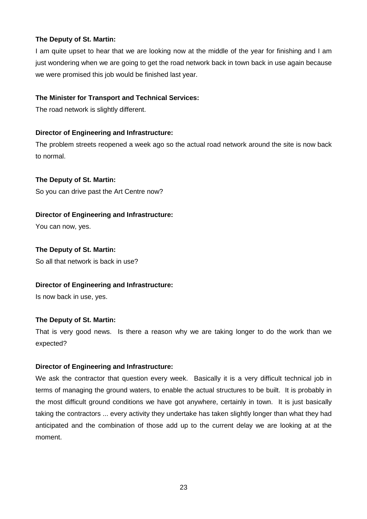I am quite upset to hear that we are looking now at the middle of the year for finishing and I am just wondering when we are going to get the road network back in town back in use again because we were promised this job would be finished last year.

# **The Minister for Transport and Technical Services:**

The road network is slightly different.

# **Director of Engineering and Infrastructure:**

The problem streets reopened a week ago so the actual road network around the site is now back to normal.

# **The Deputy of St. Martin:**

So you can drive past the Art Centre now?

# **Director of Engineering and Infrastructure:**

You can now, yes.

# **The Deputy of St. Martin:**

So all that network is back in use?

# **Director of Engineering and Infrastructure:**

Is now back in use, yes.

# **The Deputy of St. Martin:**

That is very good news. Is there a reason why we are taking longer to do the work than we expected?

#### **Director of Engineering and Infrastructure:**

We ask the contractor that question every week. Basically it is a very difficult technical job in terms of managing the ground waters, to enable the actual structures to be built. It is probably in the most difficult ground conditions we have got anywhere, certainly in town. It is just basically taking the contractors ... every activity they undertake has taken slightly longer than what they had anticipated and the combination of those add up to the current delay we are looking at at the moment.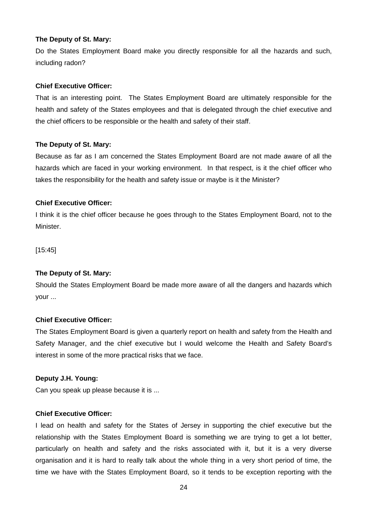Do the States Employment Board make you directly responsible for all the hazards and such, including radon?

#### **Chief Executive Officer:**

That is an interesting point. The States Employment Board are ultimately responsible for the health and safety of the States employees and that is delegated through the chief executive and the chief officers to be responsible or the health and safety of their staff.

#### **The Deputy of St. Mary:**

Because as far as I am concerned the States Employment Board are not made aware of all the hazards which are faced in your working environment. In that respect, is it the chief officer who takes the responsibility for the health and safety issue or maybe is it the Minister?

# **Chief Executive Officer:**

I think it is the chief officer because he goes through to the States Employment Board, not to the Minister.

[15:45]

#### **The Deputy of St. Mary:**

Should the States Employment Board be made more aware of all the dangers and hazards which your ...

#### **Chief Executive Officer:**

The States Employment Board is given a quarterly report on health and safety from the Health and Safety Manager, and the chief executive but I would welcome the Health and Safety Board's interest in some of the more practical risks that we face.

#### **Deputy J.H. Young:**

Can you speak up please because it is ...

#### **Chief Executive Officer:**

I lead on health and safety for the States of Jersey in supporting the chief executive but the relationship with the States Employment Board is something we are trying to get a lot better, particularly on health and safety and the risks associated with it, but it is a very diverse organisation and it is hard to really talk about the whole thing in a very short period of time, the time we have with the States Employment Board, so it tends to be exception reporting with the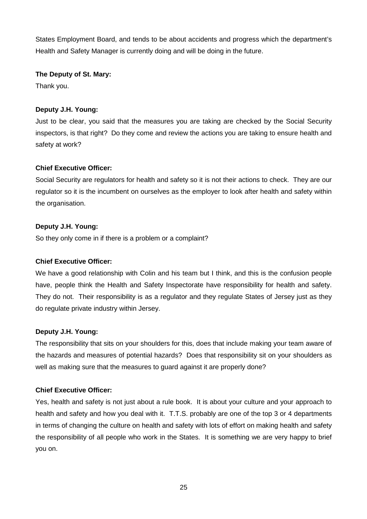States Employment Board, and tends to be about accidents and progress which the department's Health and Safety Manager is currently doing and will be doing in the future.

## **The Deputy of St. Mary:**

Thank you.

# **Deputy J.H. Young:**

Just to be clear, you said that the measures you are taking are checked by the Social Security inspectors, is that right? Do they come and review the actions you are taking to ensure health and safety at work?

# **Chief Executive Officer:**

Social Security are regulators for health and safety so it is not their actions to check. They are our regulator so it is the incumbent on ourselves as the employer to look after health and safety within the organisation.

# **Deputy J.H. Young:**

So they only come in if there is a problem or a complaint?

# **Chief Executive Officer:**

We have a good relationship with Colin and his team but I think, and this is the confusion people have, people think the Health and Safety Inspectorate have responsibility for health and safety. They do not. Their responsibility is as a regulator and they regulate States of Jersey just as they do regulate private industry within Jersey.

# **Deputy J.H. Young:**

The responsibility that sits on your shoulders for this, does that include making your team aware of the hazards and measures of potential hazards? Does that responsibility sit on your shoulders as well as making sure that the measures to guard against it are properly done?

# **Chief Executive Officer:**

Yes, health and safety is not just about a rule book. It is about your culture and your approach to health and safety and how you deal with it. T.T.S. probably are one of the top 3 or 4 departments in terms of changing the culture on health and safety with lots of effort on making health and safety the responsibility of all people who work in the States. It is something we are very happy to brief you on.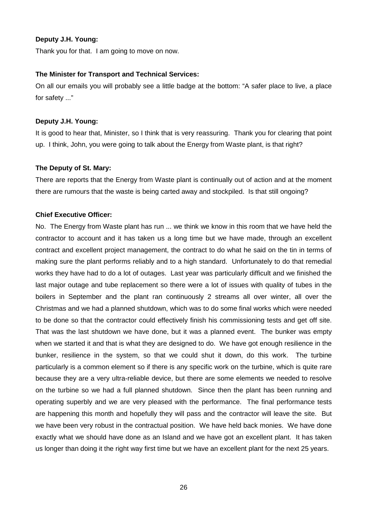#### **Deputy J.H. Young:**

Thank you for that. I am going to move on now.

#### **The Minister for Transport and Technical Services:**

On all our emails you will probably see a little badge at the bottom: "A safer place to live, a place for safety ..."

#### **Deputy J.H. Young:**

It is good to hear that, Minister, so I think that is very reassuring. Thank you for clearing that point up. I think, John, you were going to talk about the Energy from Waste plant, is that right?

#### **The Deputy of St. Mary:**

There are reports that the Energy from Waste plant is continually out of action and at the moment there are rumours that the waste is being carted away and stockpiled. Is that still ongoing?

#### **Chief Executive Officer:**

No. The Energy from Waste plant has run ... we think we know in this room that we have held the contractor to account and it has taken us a long time but we have made, through an excellent contract and excellent project management, the contract to do what he said on the tin in terms of making sure the plant performs reliably and to a high standard. Unfortunately to do that remedial works they have had to do a lot of outages. Last year was particularly difficult and we finished the last major outage and tube replacement so there were a lot of issues with quality of tubes in the boilers in September and the plant ran continuously 2 streams all over winter, all over the Christmas and we had a planned shutdown, which was to do some final works which were needed to be done so that the contractor could effectively finish his commissioning tests and get off site. That was the last shutdown we have done, but it was a planned event. The bunker was empty when we started it and that is what they are designed to do. We have got enough resilience in the bunker, resilience in the system, so that we could shut it down, do this work. The turbine particularly is a common element so if there is any specific work on the turbine, which is quite rare because they are a very ultra-reliable device, but there are some elements we needed to resolve on the turbine so we had a full planned shutdown. Since then the plant has been running and operating superbly and we are very pleased with the performance. The final performance tests are happening this month and hopefully they will pass and the contractor will leave the site. But we have been very robust in the contractual position. We have held back monies. We have done exactly what we should have done as an Island and we have got an excellent plant. It has taken us longer than doing it the right way first time but we have an excellent plant for the next 25 years.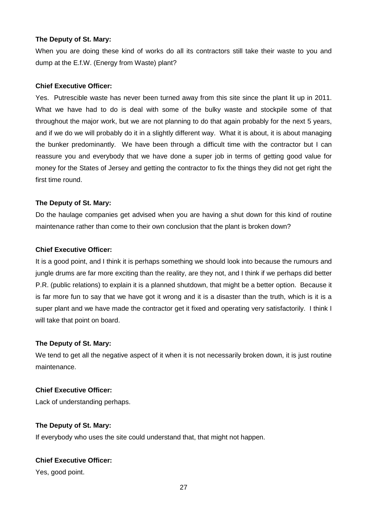When you are doing these kind of works do all its contractors still take their waste to you and dump at the E.f.W. (Energy from Waste) plant?

#### **Chief Executive Officer:**

Yes. Putrescible waste has never been turned away from this site since the plant lit up in 2011. What we have had to do is deal with some of the bulky waste and stockpile some of that throughout the major work, but we are not planning to do that again probably for the next 5 years, and if we do we will probably do it in a slightly different way. What it is about, it is about managing the bunker predominantly. We have been through a difficult time with the contractor but I can reassure you and everybody that we have done a super job in terms of getting good value for money for the States of Jersey and getting the contractor to fix the things they did not get right the first time round.

#### **The Deputy of St. Mary:**

Do the haulage companies get advised when you are having a shut down for this kind of routine maintenance rather than come to their own conclusion that the plant is broken down?

#### **Chief Executive Officer:**

It is a good point, and I think it is perhaps something we should look into because the rumours and jungle drums are far more exciting than the reality, are they not, and I think if we perhaps did better P.R. (public relations) to explain it is a planned shutdown, that might be a better option. Because it is far more fun to say that we have got it wrong and it is a disaster than the truth, which is it is a super plant and we have made the contractor get it fixed and operating very satisfactorily. I think I will take that point on board.

#### **The Deputy of St. Mary:**

We tend to get all the negative aspect of it when it is not necessarily broken down, it is just routine maintenance.

#### **Chief Executive Officer:**

Lack of understanding perhaps.

#### **The Deputy of St. Mary:**

If everybody who uses the site could understand that, that might not happen.

# **Chief Executive Officer:**

Yes, good point.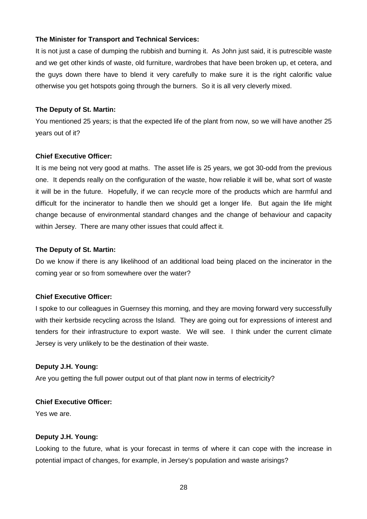# **The Minister for Transport and Technical Services:**

It is not just a case of dumping the rubbish and burning it. As John just said, it is putrescible waste and we get other kinds of waste, old furniture, wardrobes that have been broken up, et cetera, and the guys down there have to blend it very carefully to make sure it is the right calorific value otherwise you get hotspots going through the burners. So it is all very cleverly mixed.

#### **The Deputy of St. Martin:**

You mentioned 25 years; is that the expected life of the plant from now, so we will have another 25 years out of it?

# **Chief Executive Officer:**

It is me being not very good at maths. The asset life is 25 years, we got 30-odd from the previous one. It depends really on the configuration of the waste, how reliable it will be, what sort of waste it will be in the future. Hopefully, if we can recycle more of the products which are harmful and difficult for the incinerator to handle then we should get a longer life. But again the life might change because of environmental standard changes and the change of behaviour and capacity within Jersey. There are many other issues that could affect it.

### **The Deputy of St. Martin:**

Do we know if there is any likelihood of an additional load being placed on the incinerator in the coming year or so from somewhere over the water?

# **Chief Executive Officer:**

I spoke to our colleagues in Guernsey this morning, and they are moving forward very successfully with their kerbside recycling across the Island. They are going out for expressions of interest and tenders for their infrastructure to export waste. We will see. I think under the current climate Jersey is very unlikely to be the destination of their waste.

# **Deputy J.H. Young:**

Are you getting the full power output out of that plant now in terms of electricity?

# **Chief Executive Officer:**

Yes we are.

#### **Deputy J.H. Young:**

Looking to the future, what is your forecast in terms of where it can cope with the increase in potential impact of changes, for example, in Jersey's population and waste arisings?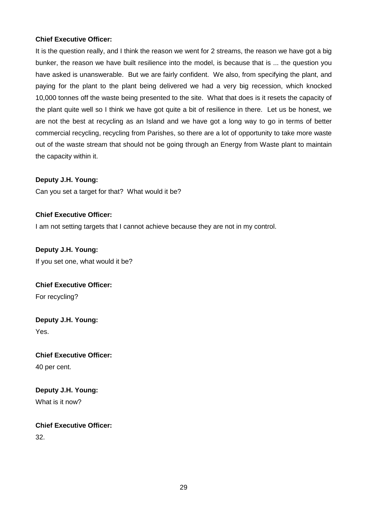# **Chief Executive Officer:**

It is the question really, and I think the reason we went for 2 streams, the reason we have got a big bunker, the reason we have built resilience into the model, is because that is ... the question you have asked is unanswerable. But we are fairly confident. We also, from specifying the plant, and paying for the plant to the plant being delivered we had a very big recession, which knocked 10,000 tonnes off the waste being presented to the site. What that does is it resets the capacity of the plant quite well so I think we have got quite a bit of resilience in there. Let us be honest, we are not the best at recycling as an Island and we have got a long way to go in terms of better commercial recycling, recycling from Parishes, so there are a lot of opportunity to take more waste out of the waste stream that should not be going through an Energy from Waste plant to maintain the capacity within it.

# **Deputy J.H. Young:**

Can you set a target for that? What would it be?

# **Chief Executive Officer:**

I am not setting targets that I cannot achieve because they are not in my control.

**Deputy J.H. Young:** If you set one, what would it be?

**Chief Executive Officer:** For recycling?

**Deputy J.H. Young:** Yes.

**Chief Executive Officer:** 40 per cent.

**Deputy J.H. Young:**

What is it now?

**Chief Executive Officer:** 32.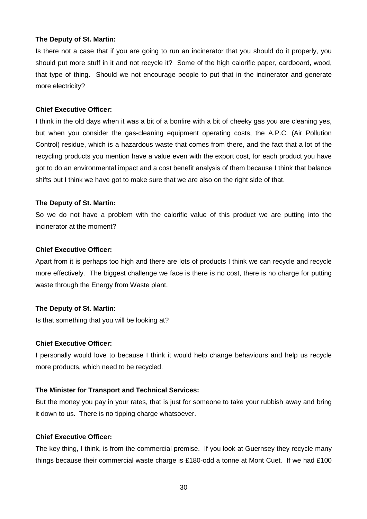Is there not a case that if you are going to run an incinerator that you should do it properly, you should put more stuff in it and not recycle it? Some of the high calorific paper, cardboard, wood, that type of thing. Should we not encourage people to put that in the incinerator and generate more electricity?

#### **Chief Executive Officer:**

I think in the old days when it was a bit of a bonfire with a bit of cheeky gas you are cleaning yes, but when you consider the gas-cleaning equipment operating costs, the A.P.C. (Air Pollution Control) residue, which is a hazardous waste that comes from there, and the fact that a lot of the recycling products you mention have a value even with the export cost, for each product you have got to do an environmental impact and a cost benefit analysis of them because I think that balance shifts but I think we have got to make sure that we are also on the right side of that.

#### **The Deputy of St. Martin:**

So we do not have a problem with the calorific value of this product we are putting into the incinerator at the moment?

#### **Chief Executive Officer:**

Apart from it is perhaps too high and there are lots of products I think we can recycle and recycle more effectively. The biggest challenge we face is there is no cost, there is no charge for putting waste through the Energy from Waste plant.

#### **The Deputy of St. Martin:**

Is that something that you will be looking at?

#### **Chief Executive Officer:**

I personally would love to because I think it would help change behaviours and help us recycle more products, which need to be recycled.

#### **The Minister for Transport and Technical Services:**

But the money you pay in your rates, that is just for someone to take your rubbish away and bring it down to us. There is no tipping charge whatsoever.

#### **Chief Executive Officer:**

The key thing, I think, is from the commercial premise. If you look at Guernsey they recycle many things because their commercial waste charge is £180-odd a tonne at Mont Cuet. If we had £100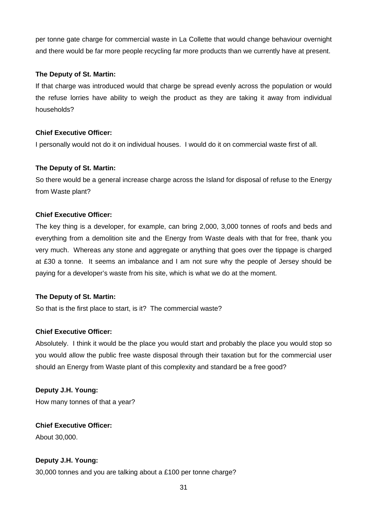per tonne gate charge for commercial waste in La Collette that would change behaviour overnight and there would be far more people recycling far more products than we currently have at present.

## **The Deputy of St. Martin:**

If that charge was introduced would that charge be spread evenly across the population or would the refuse lorries have ability to weigh the product as they are taking it away from individual households?

# **Chief Executive Officer:**

I personally would not do it on individual houses. I would do it on commercial waste first of all.

#### **The Deputy of St. Martin:**

So there would be a general increase charge across the Island for disposal of refuse to the Energy from Waste plant?

# **Chief Executive Officer:**

The key thing is a developer, for example, can bring 2,000, 3,000 tonnes of roofs and beds and everything from a demolition site and the Energy from Waste deals with that for free, thank you very much. Whereas any stone and aggregate or anything that goes over the tippage is charged at £30 a tonne. It seems an imbalance and I am not sure why the people of Jersey should be paying for a developer's waste from his site, which is what we do at the moment.

## **The Deputy of St. Martin:**

So that is the first place to start, is it? The commercial waste?

#### **Chief Executive Officer:**

Absolutely. I think it would be the place you would start and probably the place you would stop so you would allow the public free waste disposal through their taxation but for the commercial user should an Energy from Waste plant of this complexity and standard be a free good?

# **Deputy J.H. Young:**

How many tonnes of that a year?

# **Chief Executive Officer:**

About 30,000.

# **Deputy J.H. Young:**

30,000 tonnes and you are talking about a £100 per tonne charge?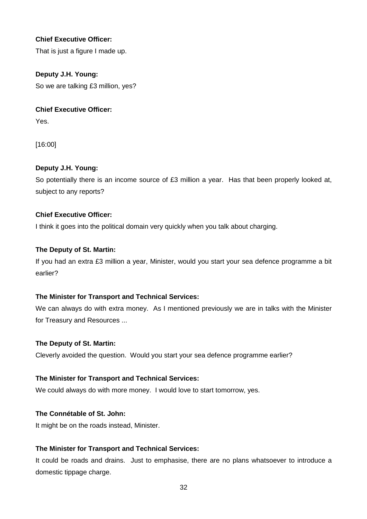# **Chief Executive Officer:**

That is just a figure I made up.

# **Deputy J.H. Young:**

So we are talking £3 million, yes?

## **Chief Executive Officer:**

Yes.

[16:00]

# **Deputy J.H. Young:**

So potentially there is an income source of £3 million a year. Has that been properly looked at, subject to any reports?

# **Chief Executive Officer:**

I think it goes into the political domain very quickly when you talk about charging.

# **The Deputy of St. Martin:**

If you had an extra £3 million a year, Minister, would you start your sea defence programme a bit earlier?

# **The Minister for Transport and Technical Services:**

We can always do with extra money. As I mentioned previously we are in talks with the Minister for Treasury and Resources ...

#### **The Deputy of St. Martin:**

Cleverly avoided the question. Would you start your sea defence programme earlier?

#### **The Minister for Transport and Technical Services:**

We could always do with more money. I would love to start tomorrow, yes.

#### **The Connétable of St. John:**

It might be on the roads instead, Minister.

# **The Minister for Transport and Technical Services:**

It could be roads and drains. Just to emphasise, there are no plans whatsoever to introduce a domestic tippage charge.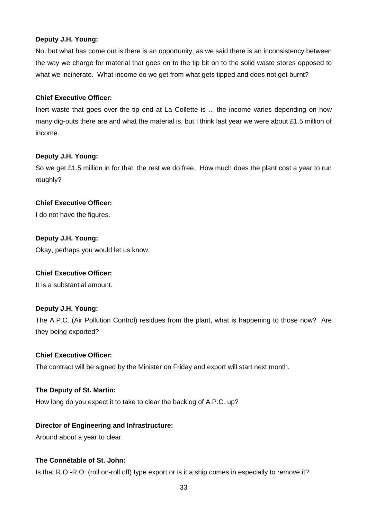# **Deputy J.H. Young:**

No, but what has come out is there is an opportunity, as we said there is an inconsistency between the way we charge for material that goes on to the tip bit on to the solid waste stores opposed to what we incinerate. What income do we get from what gets tipped and does not get burnt?

# **Chief Executive Officer:**

Inert waste that goes over the tip end at La Collette is ... the income varies depending on how many dig-outs there are and what the material is, but I think last year we were about £1.5 million of income.

# **Deputy J.H. Young:**

So we get £1.5 million in for that, the rest we do free. How much does the plant cost a year to run roughly?

# **Chief Executive Officer:**

I do not have the figures.

# **Deputy J.H. Young:**

Okay, perhaps you would let us know.

# **Chief Executive Officer:**

It is a substantial amount.

# **Deputy J.H. Young:**

The A.P.C. (Air Pollution Control) residues from the plant, what is happening to those now? Are they being exported?

#### **Chief Executive Officer:**

The contract will be signed by the Minister on Friday and export will start next month.

#### **The Deputy of St. Martin:**

How long do you expect it to take to clear the backlog of A.P.C. up?

# **Director of Engineering and Infrastructure:**

Around about a year to clear.

# **The Connétable of St. John:**

Is that R.O.-R.O. (roll on-roll off) type export or is it a ship comes in especially to remove it?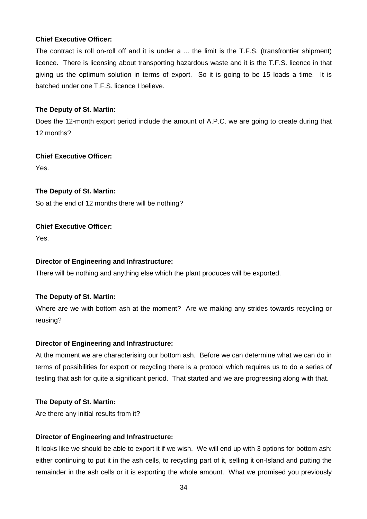# **Chief Executive Officer:**

The contract is roll on-roll off and it is under a ... the limit is the T.F.S. (transfrontier shipment) licence. There is licensing about transporting hazardous waste and it is the T.F.S. licence in that giving us the optimum solution in terms of export. So it is going to be 15 loads a time. It is batched under one T.F.S. licence I believe.

# **The Deputy of St. Martin:**

Does the 12-month export period include the amount of A.P.C. we are going to create during that 12 months?

# **Chief Executive Officer:**

Yes.

# **The Deputy of St. Martin:**

So at the end of 12 months there will be nothing?

# **Chief Executive Officer:**

Yes.

# **Director of Engineering and Infrastructure:**

There will be nothing and anything else which the plant produces will be exported.

# **The Deputy of St. Martin:**

Where are we with bottom ash at the moment? Are we making any strides towards recycling or reusing?

#### **Director of Engineering and Infrastructure:**

At the moment we are characterising our bottom ash. Before we can determine what we can do in terms of possibilities for export or recycling there is a protocol which requires us to do a series of testing that ash for quite a significant period. That started and we are progressing along with that.

#### **The Deputy of St. Martin:**

Are there any initial results from it?

# **Director of Engineering and Infrastructure:**

It looks like we should be able to export it if we wish. We will end up with 3 options for bottom ash: either continuing to put it in the ash cells, to recycling part of it, selling it on-Island and putting the remainder in the ash cells or it is exporting the whole amount. What we promised you previously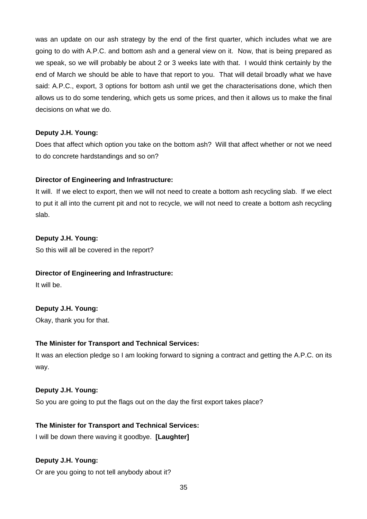was an update on our ash strategy by the end of the first quarter, which includes what we are going to do with A.P.C. and bottom ash and a general view on it. Now, that is being prepared as we speak, so we will probably be about 2 or 3 weeks late with that. I would think certainly by the end of March we should be able to have that report to you. That will detail broadly what we have said: A.P.C., export, 3 options for bottom ash until we get the characterisations done, which then allows us to do some tendering, which gets us some prices, and then it allows us to make the final decisions on what we do.

# **Deputy J.H. Young:**

Does that affect which option you take on the bottom ash? Will that affect whether or not we need to do concrete hardstandings and so on?

# **Director of Engineering and Infrastructure:**

It will. If we elect to export, then we will not need to create a bottom ash recycling slab. If we elect to put it all into the current pit and not to recycle, we will not need to create a bottom ash recycling slab.

# **Deputy J.H. Young:**

So this will all be covered in the report?

#### **Director of Engineering and Infrastructure:**

It will be.

# **Deputy J.H. Young:**

Okay, thank you for that.

# **The Minister for Transport and Technical Services:**

It was an election pledge so I am looking forward to signing a contract and getting the A.P.C. on its way.

#### **Deputy J.H. Young:**

So you are going to put the flags out on the day the first export takes place?

# **The Minister for Transport and Technical Services:**

I will be down there waving it goodbye. **[Laughter]**

# **Deputy J.H. Young:**

Or are you going to not tell anybody about it?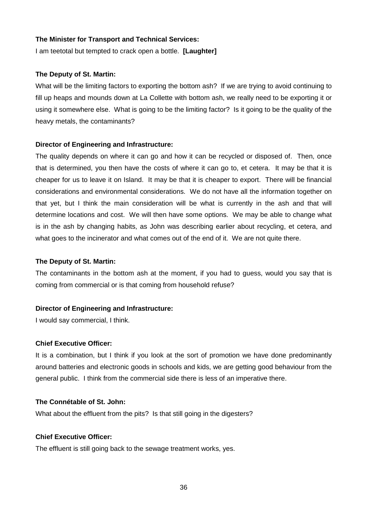#### **The Minister for Transport and Technical Services:**

I am teetotal but tempted to crack open a bottle. **[Laughter]**

#### **The Deputy of St. Martin:**

What will be the limiting factors to exporting the bottom ash? If we are trying to avoid continuing to fill up heaps and mounds down at La Collette with bottom ash, we really need to be exporting it or using it somewhere else. What is going to be the limiting factor? Is it going to be the quality of the heavy metals, the contaminants?

#### **Director of Engineering and Infrastructure:**

The quality depends on where it can go and how it can be recycled or disposed of. Then, once that is determined, you then have the costs of where it can go to, et cetera. It may be that it is cheaper for us to leave it on Island. It may be that it is cheaper to export. There will be financial considerations and environmental considerations. We do not have all the information together on that yet, but I think the main consideration will be what is currently in the ash and that will determine locations and cost. We will then have some options. We may be able to change what is in the ash by changing habits, as John was describing earlier about recycling, et cetera, and what goes to the incinerator and what comes out of the end of it. We are not quite there.

#### **The Deputy of St. Martin:**

The contaminants in the bottom ash at the moment, if you had to guess, would you say that is coming from commercial or is that coming from household refuse?

#### **Director of Engineering and Infrastructure:**

I would say commercial, I think.

#### **Chief Executive Officer:**

It is a combination, but I think if you look at the sort of promotion we have done predominantly around batteries and electronic goods in schools and kids, we are getting good behaviour from the general public. I think from the commercial side there is less of an imperative there.

#### **The Connétable of St. John:**

What about the effluent from the pits? Is that still going in the digesters?

#### **Chief Executive Officer:**

The effluent is still going back to the sewage treatment works, yes.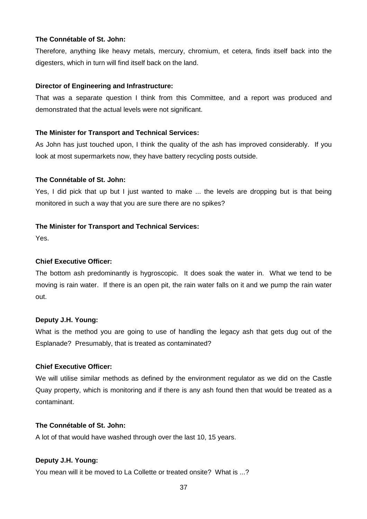#### **The Connétable of St. John:**

Therefore, anything like heavy metals, mercury, chromium, et cetera, finds itself back into the digesters, which in turn will find itself back on the land.

#### **Director of Engineering and Infrastructure:**

That was a separate question I think from this Committee, and a report was produced and demonstrated that the actual levels were not significant.

#### **The Minister for Transport and Technical Services:**

As John has just touched upon, I think the quality of the ash has improved considerably. If you look at most supermarkets now, they have battery recycling posts outside.

#### **The Connétable of St. John:**

Yes, I did pick that up but I just wanted to make ... the levels are dropping but is that being monitored in such a way that you are sure there are no spikes?

#### **The Minister for Transport and Technical Services:**

Yes.

#### **Chief Executive Officer:**

The bottom ash predominantly is hygroscopic. It does soak the water in. What we tend to be moving is rain water. If there is an open pit, the rain water falls on it and we pump the rain water out.

#### **Deputy J.H. Young:**

What is the method you are going to use of handling the legacy ash that gets dug out of the Esplanade? Presumably, that is treated as contaminated?

#### **Chief Executive Officer:**

We will utilise similar methods as defined by the environment regulator as we did on the Castle Quay property, which is monitoring and if there is any ash found then that would be treated as a contaminant.

#### **The Connétable of St. John:**

A lot of that would have washed through over the last 10, 15 years.

#### **Deputy J.H. Young:**

You mean will it be moved to La Collette or treated onsite? What is ...?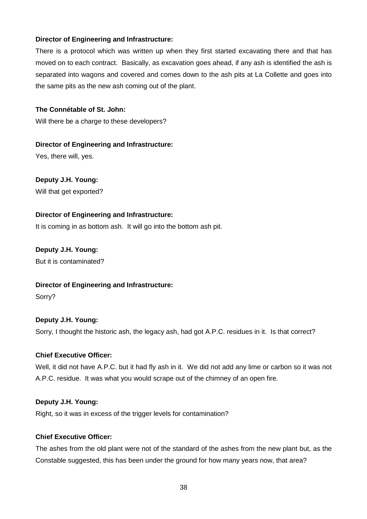There is a protocol which was written up when they first started excavating there and that has moved on to each contract. Basically, as excavation goes ahead, if any ash is identified the ash is separated into wagons and covered and comes down to the ash pits at La Collette and goes into the same pits as the new ash coming out of the plant.

# **The Connétable of St. John:**

Will there be a charge to these developers?

# **Director of Engineering and Infrastructure:**

Yes, there will, yes.

# **Deputy J.H. Young:**

Will that get exported?

# **Director of Engineering and Infrastructure:**

It is coming in as bottom ash. It will go into the bottom ash pit.

# **Deputy J.H. Young:** But it is contaminated?

# **Director of Engineering and Infrastructure:**

Sorry?

# **Deputy J.H. Young:**

Sorry, I thought the historic ash, the legacy ash, had got A.P.C. residues in it. Is that correct?

# **Chief Executive Officer:**

Well, it did not have A.P.C. but it had fly ash in it. We did not add any lime or carbon so it was not A.P.C. residue. It was what you would scrape out of the chimney of an open fire.

#### **Deputy J.H. Young:**

Right, so it was in excess of the trigger levels for contamination?

#### **Chief Executive Officer:**

The ashes from the old plant were not of the standard of the ashes from the new plant but, as the Constable suggested, this has been under the ground for how many years now, that area?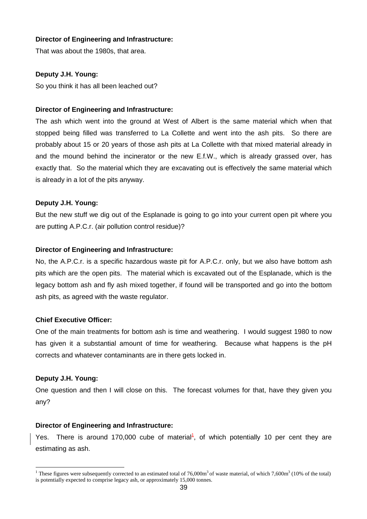That was about the 1980s, that area.

# **Deputy J.H. Young:**

So you think it has all been leached out?

#### **Director of Engineering and Infrastructure:**

The ash which went into the ground at West of Albert is the same material which when that stopped being filled was transferred to La Collette and went into the ash pits. So there are probably about 15 or 20 years of those ash pits at La Collette with that mixed material already in and the mound behind the incinerator or the new E.f.W., which is already grassed over, has exactly that. So the material which they are excavating out is effectively the same material which is already in a lot of the pits anyway.

#### **Deputy J.H. Young:**

But the new stuff we dig out of the Esplanade is going to go into your current open pit where you are putting A.P.C.r. (air pollution control residue)?

#### **Director of Engineering and Infrastructure:**

No, the A.P.C.r. is a specific hazardous waste pit for A.P.C.r. only, but we also have bottom ash pits which are the open pits. The material which is excavated out of the Esplanade, which is the legacy bottom ash and fly ash mixed together, if found will be transported and go into the bottom ash pits, as agreed with the waste regulator.

#### **Chief Executive Officer:**

One of the main treatments for bottom ash is time and weathering. I would suggest 1980 to now has given it a substantial amount of time for weathering. Because what happens is the pH corrects and whatever contaminants are in there gets locked in.

#### **Deputy J.H. Young:**

One question and then I will close on this. The forecast volumes for that, have they given you any?

#### **Director of Engineering and Infrastructure:**

Yes. There is around 170,000 cube of material<sup>1</sup>, of which potentially 10 per cent they are estimating as ash.

 $\overline{a}$ <sup>1</sup> These figures were subsequently corrected to an estimated total of  $76,000m<sup>3</sup>$  of waste material, of which  $7,600m<sup>3</sup>$  (10% of the total) is potentially expected to comprise legacy ash, or approximately 15,000 tonnes.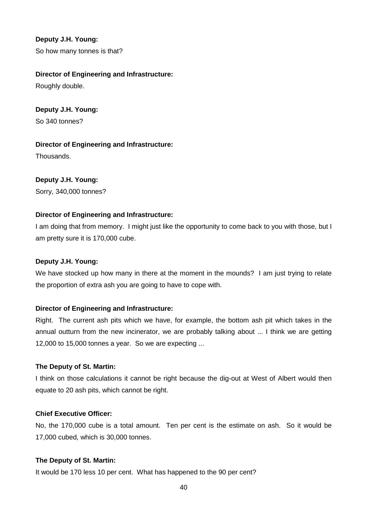# **Deputy J.H. Young:**

So how many tonnes is that?

## **Director of Engineering and Infrastructure:**

Roughly double.

**Deputy J.H. Young:** So 340 tonnes?

**Director of Engineering and Infrastructure:** Thousands.

# **Deputy J.H. Young:**

Sorry, 340,000 tonnes?

#### **Director of Engineering and Infrastructure:**

I am doing that from memory. I might just like the opportunity to come back to you with those, but I am pretty sure it is 170,000 cube.

#### **Deputy J.H. Young:**

We have stocked up how many in there at the moment in the mounds? I am just trying to relate the proportion of extra ash you are going to have to cope with.

#### **Director of Engineering and Infrastructure:**

Right. The current ash pits which we have, for example, the bottom ash pit which takes in the annual outturn from the new incinerator, we are probably talking about ... I think we are getting 12,000 to 15,000 tonnes a year. So we are expecting ...

#### **The Deputy of St. Martin:**

I think on those calculations it cannot be right because the dig-out at West of Albert would then equate to 20 ash pits, which cannot be right.

#### **Chief Executive Officer:**

No, the 170,000 cube is a total amount. Ten per cent is the estimate on ash. So it would be 17,000 cubed, which is 30,000 tonnes.

#### **The Deputy of St. Martin:**

It would be 170 less 10 per cent. What has happened to the 90 per cent?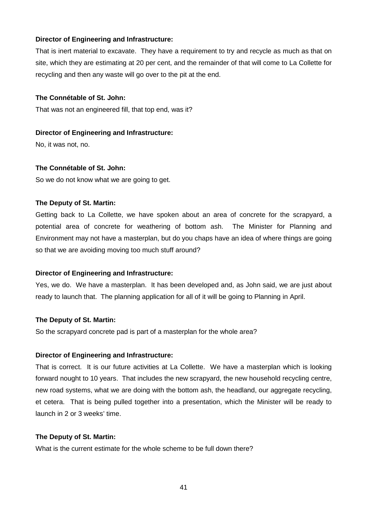That is inert material to excavate. They have a requirement to try and recycle as much as that on site, which they are estimating at 20 per cent, and the remainder of that will come to La Collette for recycling and then any waste will go over to the pit at the end.

#### **The Connétable of St. John:**

That was not an engineered fill, that top end, was it?

#### **Director of Engineering and Infrastructure:**

No, it was not, no.

#### **The Connétable of St. John:**

So we do not know what we are going to get.

#### **The Deputy of St. Martin:**

Getting back to La Collette, we have spoken about an area of concrete for the scrapyard, a potential area of concrete for weathering of bottom ash. The Minister for Planning and Environment may not have a masterplan, but do you chaps have an idea of where things are going so that we are avoiding moving too much stuff around?

#### **Director of Engineering and Infrastructure:**

Yes, we do. We have a masterplan. It has been developed and, as John said, we are just about ready to launch that. The planning application for all of it will be going to Planning in April.

#### **The Deputy of St. Martin:**

So the scrapyard concrete pad is part of a masterplan for the whole area?

#### **Director of Engineering and Infrastructure:**

That is correct. It is our future activities at La Collette. We have a masterplan which is looking forward nought to 10 years. That includes the new scrapyard, the new household recycling centre, new road systems, what we are doing with the bottom ash, the headland, our aggregate recycling, et cetera. That is being pulled together into a presentation, which the Minister will be ready to launch in 2 or 3 weeks' time.

#### **The Deputy of St. Martin:**

What is the current estimate for the whole scheme to be full down there?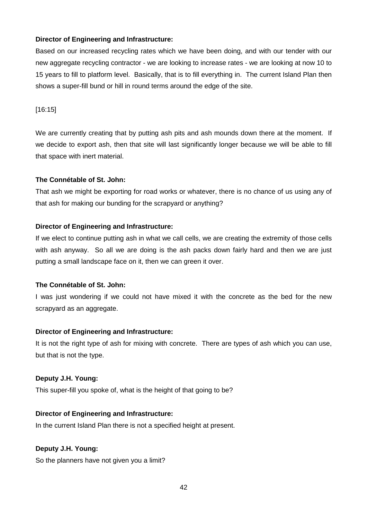Based on our increased recycling rates which we have been doing, and with our tender with our new aggregate recycling contractor - we are looking to increase rates - we are looking at now 10 to 15 years to fill to platform level. Basically, that is to fill everything in. The current Island Plan then shows a super-fill bund or hill in round terms around the edge of the site.

[16:15]

We are currently creating that by putting ash pits and ash mounds down there at the moment. If we decide to export ash, then that site will last significantly longer because we will be able to fill that space with inert material.

# **The Connétable of St. John:**

That ash we might be exporting for road works or whatever, there is no chance of us using any of that ash for making our bunding for the scrapyard or anything?

# **Director of Engineering and Infrastructure:**

If we elect to continue putting ash in what we call cells, we are creating the extremity of those cells with ash anyway. So all we are doing is the ash packs down fairly hard and then we are just putting a small landscape face on it, then we can green it over.

#### **The Connétable of St. John:**

I was just wondering if we could not have mixed it with the concrete as the bed for the new scrapyard as an aggregate.

# **Director of Engineering and Infrastructure:**

It is not the right type of ash for mixing with concrete. There are types of ash which you can use, but that is not the type.

#### **Deputy J.H. Young:**

This super-fill you spoke of, what is the height of that going to be?

# **Director of Engineering and Infrastructure:**

In the current Island Plan there is not a specified height at present.

# **Deputy J.H. Young:**

So the planners have not given you a limit?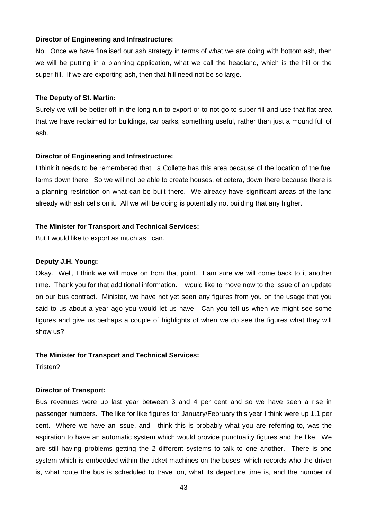No. Once we have finalised our ash strategy in terms of what we are doing with bottom ash, then we will be putting in a planning application, what we call the headland, which is the hill or the super-fill. If we are exporting ash, then that hill need not be so large.

#### **The Deputy of St. Martin:**

Surely we will be better off in the long run to export or to not go to super-fill and use that flat area that we have reclaimed for buildings, car parks, something useful, rather than just a mound full of ash.

#### **Director of Engineering and Infrastructure:**

I think it needs to be remembered that La Collette has this area because of the location of the fuel farms down there. So we will not be able to create houses, et cetera, down there because there is a planning restriction on what can be built there. We already have significant areas of the land already with ash cells on it. All we will be doing is potentially not building that any higher.

#### **The Minister for Transport and Technical Services:**

But I would like to export as much as I can.

#### **Deputy J.H. Young:**

Okay. Well, I think we will move on from that point. I am sure we will come back to it another time. Thank you for that additional information. I would like to move now to the issue of an update on our bus contract. Minister, we have not yet seen any figures from you on the usage that you said to us about a year ago you would let us have. Can you tell us when we might see some figures and give us perhaps a couple of highlights of when we do see the figures what they will show us?

#### **The Minister for Transport and Technical Services:**

Tristen?

#### **Director of Transport:**

Bus revenues were up last year between 3 and 4 per cent and so we have seen a rise in passenger numbers. The like for like figures for January/February this year I think were up 1.1 per cent. Where we have an issue, and I think this is probably what you are referring to, was the aspiration to have an automatic system which would provide punctuality figures and the like. We are still having problems getting the 2 different systems to talk to one another. There is one system which is embedded within the ticket machines on the buses, which records who the driver is, what route the bus is scheduled to travel on, what its departure time is, and the number of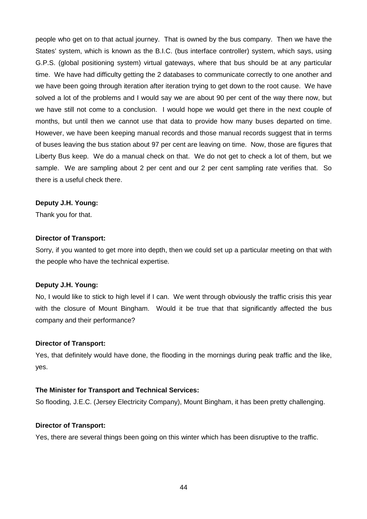people who get on to that actual journey. That is owned by the bus company. Then we have the States' system, which is known as the B.I.C. (bus interface controller) system, which says, using G.P.S. (global positioning system) virtual gateways, where that bus should be at any particular time. We have had difficulty getting the 2 databases to communicate correctly to one another and we have been going through iteration after iteration trying to get down to the root cause. We have solved a lot of the problems and I would say we are about 90 per cent of the way there now, but we have still not come to a conclusion. I would hope we would get there in the next couple of months, but until then we cannot use that data to provide how many buses departed on time. However, we have been keeping manual records and those manual records suggest that in terms of buses leaving the bus station about 97 per cent are leaving on time. Now, those are figures that Liberty Bus keep. We do a manual check on that. We do not get to check a lot of them, but we sample. We are sampling about 2 per cent and our 2 per cent sampling rate verifies that. So there is a useful check there.

#### **Deputy J.H. Young:**

Thank you for that.

#### **Director of Transport:**

Sorry, if you wanted to get more into depth, then we could set up a particular meeting on that with the people who have the technical expertise.

#### **Deputy J.H. Young:**

No, I would like to stick to high level if I can. We went through obviously the traffic crisis this year with the closure of Mount Bingham. Would it be true that that significantly affected the bus company and their performance?

#### **Director of Transport:**

Yes, that definitely would have done, the flooding in the mornings during peak traffic and the like, yes.

#### **The Minister for Transport and Technical Services:**

So flooding, J.E.C. (Jersey Electricity Company), Mount Bingham, it has been pretty challenging.

#### **Director of Transport:**

Yes, there are several things been going on this winter which has been disruptive to the traffic.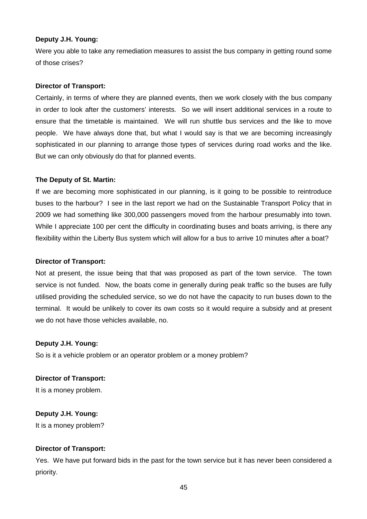#### **Deputy J.H. Young:**

Were you able to take any remediation measures to assist the bus company in getting round some of those crises?

#### **Director of Transport:**

Certainly, in terms of where they are planned events, then we work closely with the bus company in order to look after the customers' interests. So we will insert additional services in a route to ensure that the timetable is maintained. We will run shuttle bus services and the like to move people. We have always done that, but what I would say is that we are becoming increasingly sophisticated in our planning to arrange those types of services during road works and the like. But we can only obviously do that for planned events.

#### **The Deputy of St. Martin:**

If we are becoming more sophisticated in our planning, is it going to be possible to reintroduce buses to the harbour? I see in the last report we had on the Sustainable Transport Policy that in 2009 we had something like 300,000 passengers moved from the harbour presumably into town. While I appreciate 100 per cent the difficulty in coordinating buses and boats arriving, is there any flexibility within the Liberty Bus system which will allow for a bus to arrive 10 minutes after a boat?

#### **Director of Transport:**

Not at present, the issue being that that was proposed as part of the town service. The town service is not funded. Now, the boats come in generally during peak traffic so the buses are fully utilised providing the scheduled service, so we do not have the capacity to run buses down to the terminal. It would be unlikely to cover its own costs so it would require a subsidy and at present we do not have those vehicles available, no.

#### **Deputy J.H. Young:**

So is it a vehicle problem or an operator problem or a money problem?

#### **Director of Transport:**

It is a money problem.

#### **Deputy J.H. Young:**

It is a money problem?

#### **Director of Transport:**

Yes. We have put forward bids in the past for the town service but it has never been considered a priority.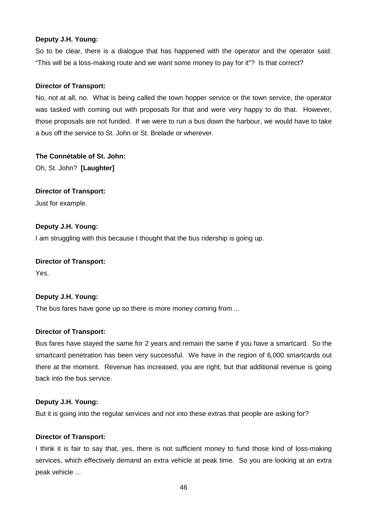#### **Deputy J.H. Young:**

So to be clear, there is a dialogue that has happened with the operator and the operator said: "This will be a loss-making route and we want some money to pay for it"? Is that correct?

# **Director of Transport:**

No, not at all, no. What is being called the town hopper service or the town service, the operator was tasked with coming out with proposals for that and were very happy to do that. However, those proposals are not funded. If we were to run a bus down the harbour, we would have to take a bus off the service to St. John or St. Brelade or wherever.

# **The Connétable of St. John:**

Oh, St. John? **[Laughter]**

# **Director of Transport:**

Just for example.

# **Deputy J.H. Young:**

I am struggling with this because I thought that the bus ridership is going up.

#### **Director of Transport:**

Yes.

#### **Deputy J.H. Young:**

The bus fares have gone up so there is more money coming from ...

#### **Director of Transport:**

Bus fares have stayed the same for 2 years and remain the same if you have a smartcard. So the smartcard penetration has been very successful. We have in the region of 6,000 smartcards out there at the moment. Revenue has increased, you are right, but that additional revenue is going back into the bus service.

#### **Deputy J.H. Young:**

But it is going into the regular services and not into these extras that people are asking for?

#### **Director of Transport:**

I think it is fair to say that, yes, there is not sufficient money to fund those kind of loss-making services, which effectively demand an extra vehicle at peak time. So you are looking at an extra peak vehicle ...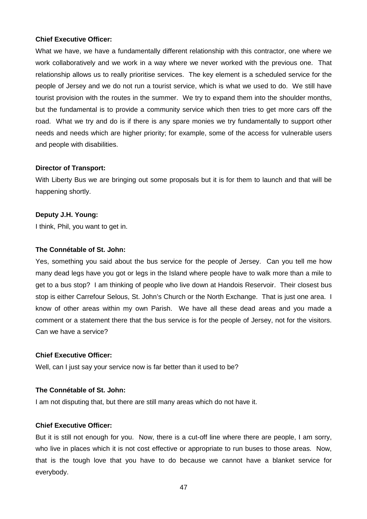#### **Chief Executive Officer:**

What we have, we have a fundamentally different relationship with this contractor, one where we work collaboratively and we work in a way where we never worked with the previous one. That relationship allows us to really prioritise services. The key element is a scheduled service for the people of Jersey and we do not run a tourist service, which is what we used to do. We still have tourist provision with the routes in the summer. We try to expand them into the shoulder months, but the fundamental is to provide a community service which then tries to get more cars off the road. What we try and do is if there is any spare monies we try fundamentally to support other needs and needs which are higher priority; for example, some of the access for vulnerable users and people with disabilities.

#### **Director of Transport:**

With Liberty Bus we are bringing out some proposals but it is for them to launch and that will be happening shortly.

#### **Deputy J.H. Young:**

I think, Phil, you want to get in.

#### **The Connétable of St. John:**

Yes, something you said about the bus service for the people of Jersey. Can you tell me how many dead legs have you got or legs in the Island where people have to walk more than a mile to get to a bus stop? I am thinking of people who live down at Handois Reservoir. Their closest bus stop is either Carrefour Selous, St. John's Church or the North Exchange. That is just one area. I know of other areas within my own Parish. We have all these dead areas and you made a comment or a statement there that the bus service is for the people of Jersey, not for the visitors. Can we have a service?

#### **Chief Executive Officer:**

Well, can I just say your service now is far better than it used to be?

#### **The Connétable of St. John:**

I am not disputing that, but there are still many areas which do not have it.

#### **Chief Executive Officer:**

But it is still not enough for you. Now, there is a cut-off line where there are people, I am sorry, who live in places which it is not cost effective or appropriate to run buses to those areas. Now, that is the tough love that you have to do because we cannot have a blanket service for everybody.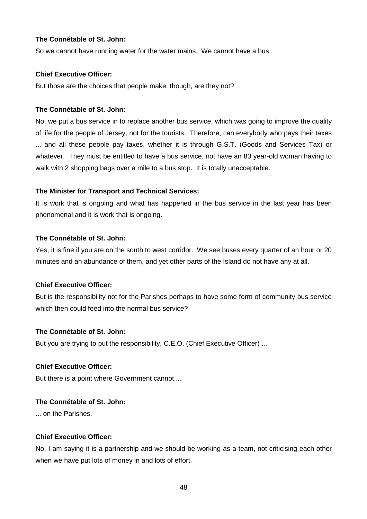# **The Connétable of St. John:**

So we cannot have running water for the water mains. We cannot have a bus.

#### **Chief Executive Officer:**

But those are the choices that people make, though, are they not?

## **The Connétable of St. John:**

No, we put a bus service in to replace another bus service, which was going to improve the quality of life for the people of Jersey, not for the tourists. Therefore, can everybody who pays their taxes ... and all these people pay taxes, whether it is through G.S.T. (Goods and Services Tax) or whatever. They must be entitled to have a bus service, not have an 83 year-old woman having to walk with 2 shopping bags over a mile to a bus stop. It is totally unacceptable.

# **The Minister for Transport and Technical Services:**

It is work that is ongoing and what has happened in the bus service in the last year has been phenomenal and it is work that is ongoing.

# **The Connétable of St. John:**

Yes, it is fine if you are on the south to west corridor. We see buses every quarter of an hour or 20 minutes and an abundance of them, and yet other parts of the Island do not have any at all.

# **Chief Executive Officer:**

But is the responsibility not for the Parishes perhaps to have some form of community bus service which then could feed into the normal bus service?

#### **The Connétable of St. John:**

But you are trying to put the responsibility, C.E.O. (Chief Executive Officer) ...

#### **Chief Executive Officer:**

But there is a point where Government cannot ...

# **The Connétable of St. John:**

... on the Parishes.

#### **Chief Executive Officer:**

No, I am saying it is a partnership and we should be working as a team, not criticising each other when we have put lots of money in and lots of effort.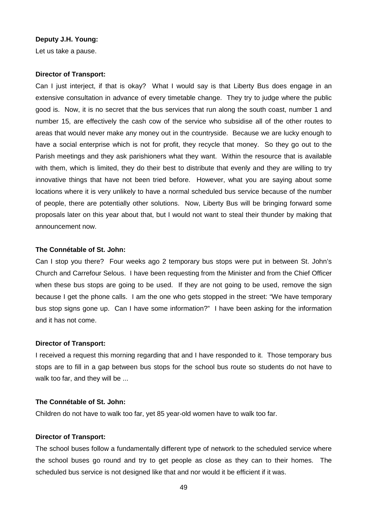#### **Deputy J.H. Young:**

Let us take a pause.

#### **Director of Transport:**

Can I just interject, if that is okay? What I would say is that Liberty Bus does engage in an extensive consultation in advance of every timetable change. They try to judge where the public good is. Now, it is no secret that the bus services that run along the south coast, number 1 and number 15, are effectively the cash cow of the service who subsidise all of the other routes to areas that would never make any money out in the countryside. Because we are lucky enough to have a social enterprise which is not for profit, they recycle that money. So they go out to the Parish meetings and they ask parishioners what they want. Within the resource that is available with them, which is limited, they do their best to distribute that evenly and they are willing to try innovative things that have not been tried before. However, what you are saying about some locations where it is very unlikely to have a normal scheduled bus service because of the number of people, there are potentially other solutions. Now, Liberty Bus will be bringing forward some proposals later on this year about that, but I would not want to steal their thunder by making that announcement now.

#### **The Connétable of St. John:**

Can I stop you there? Four weeks ago 2 temporary bus stops were put in between St. John's Church and Carrefour Selous. I have been requesting from the Minister and from the Chief Officer when these bus stops are going to be used. If they are not going to be used, remove the sign because I get the phone calls. I am the one who gets stopped in the street: "We have temporary bus stop signs gone up. Can I have some information?" I have been asking for the information and it has not come.

#### **Director of Transport:**

I received a request this morning regarding that and I have responded to it. Those temporary bus stops are to fill in a gap between bus stops for the school bus route so students do not have to walk too far, and they will be ...

#### **The Connétable of St. John:**

Children do not have to walk too far, yet 85 year-old women have to walk too far.

#### **Director of Transport:**

The school buses follow a fundamentally different type of network to the scheduled service where the school buses go round and try to get people as close as they can to their homes. The scheduled bus service is not designed like that and nor would it be efficient if it was.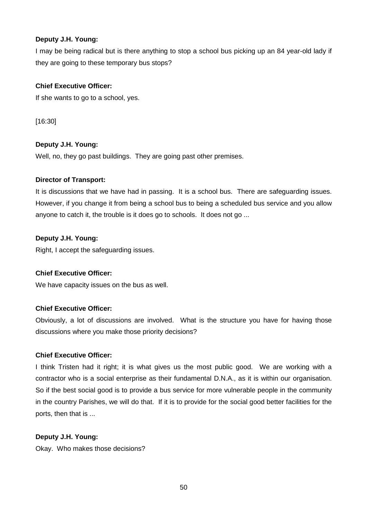# **Deputy J.H. Young:**

I may be being radical but is there anything to stop a school bus picking up an 84 year-old lady if they are going to these temporary bus stops?

# **Chief Executive Officer:**

If she wants to go to a school, yes.

[16:30]

# **Deputy J.H. Young:**

Well, no, they go past buildings. They are going past other premises.

# **Director of Transport:**

It is discussions that we have had in passing. It is a school bus. There are safeguarding issues. However, if you change it from being a school bus to being a scheduled bus service and you allow anyone to catch it, the trouble is it does go to schools. It does not go ...

# **Deputy J.H. Young:**

Right, I accept the safeguarding issues.

# **Chief Executive Officer:**

We have capacity issues on the bus as well.

# **Chief Executive Officer:**

Obviously, a lot of discussions are involved. What is the structure you have for having those discussions where you make those priority decisions?

# **Chief Executive Officer:**

I think Tristen had it right; it is what gives us the most public good. We are working with a contractor who is a social enterprise as their fundamental D.N.A., as it is within our organisation. So if the best social good is to provide a bus service for more vulnerable people in the community in the country Parishes, we will do that. If it is to provide for the social good better facilities for the ports, then that is ...

# **Deputy J.H. Young:**

Okay. Who makes those decisions?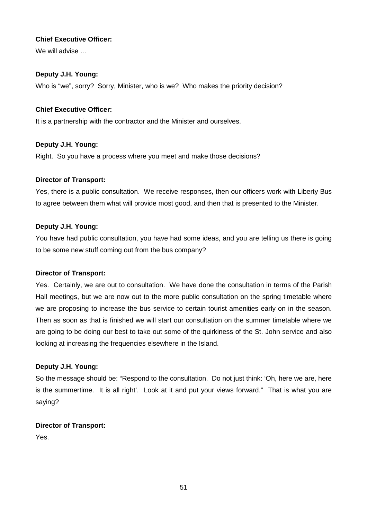# **Chief Executive Officer:**

We will advise ...

# **Deputy J.H. Young:**

Who is "we", sorry? Sorry, Minister, who is we? Who makes the priority decision?

# **Chief Executive Officer:**

It is a partnership with the contractor and the Minister and ourselves.

# **Deputy J.H. Young:**

Right. So you have a process where you meet and make those decisions?

# **Director of Transport:**

Yes, there is a public consultation. We receive responses, then our officers work with Liberty Bus to agree between them what will provide most good, and then that is presented to the Minister.

# **Deputy J.H. Young:**

You have had public consultation, you have had some ideas, and you are telling us there is going to be some new stuff coming out from the bus company?

#### **Director of Transport:**

Yes. Certainly, we are out to consultation. We have done the consultation in terms of the Parish Hall meetings, but we are now out to the more public consultation on the spring timetable where we are proposing to increase the bus service to certain tourist amenities early on in the season. Then as soon as that is finished we will start our consultation on the summer timetable where we are going to be doing our best to take out some of the quirkiness of the St. John service and also looking at increasing the frequencies elsewhere in the Island.

# **Deputy J.H. Young:**

So the message should be: "Respond to the consultation. Do not just think: 'Oh, here we are, here is the summertime. It is all right'. Look at it and put your views forward." That is what you are saying?

#### **Director of Transport:**

Yes.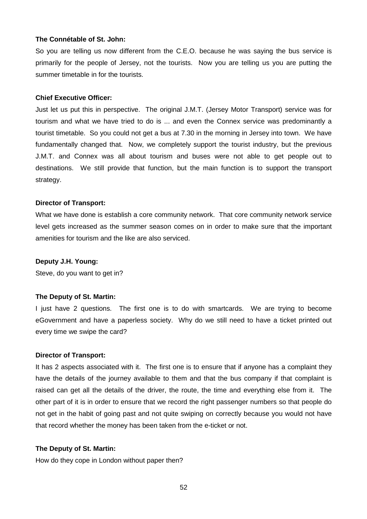#### **The Connétable of St. John:**

So you are telling us now different from the C.E.O. because he was saying the bus service is primarily for the people of Jersey, not the tourists. Now you are telling us you are putting the summer timetable in for the tourists.

#### **Chief Executive Officer:**

Just let us put this in perspective. The original J.M.T. (Jersey Motor Transport) service was for tourism and what we have tried to do is ... and even the Connex service was predominantly a tourist timetable. So you could not get a bus at 7.30 in the morning in Jersey into town. We have fundamentally changed that. Now, we completely support the tourist industry, but the previous J.M.T. and Connex was all about tourism and buses were not able to get people out to destinations. We still provide that function, but the main function is to support the transport strategy.

#### **Director of Transport:**

What we have done is establish a core community network. That core community network service level gets increased as the summer season comes on in order to make sure that the important amenities for tourism and the like are also serviced.

#### **Deputy J.H. Young:**

Steve, do you want to get in?

#### **The Deputy of St. Martin:**

I just have 2 questions. The first one is to do with smartcards. We are trying to become eGovernment and have a paperless society. Why do we still need to have a ticket printed out every time we swipe the card?

#### **Director of Transport:**

It has 2 aspects associated with it. The first one is to ensure that if anyone has a complaint they have the details of the journey available to them and that the bus company if that complaint is raised can get all the details of the driver, the route, the time and everything else from it. The other part of it is in order to ensure that we record the right passenger numbers so that people do not get in the habit of going past and not quite swiping on correctly because you would not have that record whether the money has been taken from the e-ticket or not.

#### **The Deputy of St. Martin:**

How do they cope in London without paper then?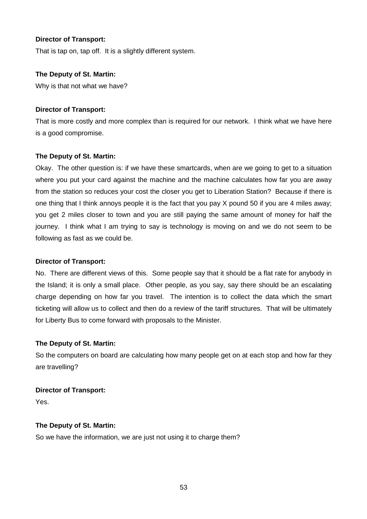## **Director of Transport:**

That is tap on, tap off. It is a slightly different system.

#### **The Deputy of St. Martin:**

Why is that not what we have?

#### **Director of Transport:**

That is more costly and more complex than is required for our network. I think what we have here is a good compromise.

#### **The Deputy of St. Martin:**

Okay. The other question is: if we have these smartcards, when are we going to get to a situation where you put your card against the machine and the machine calculates how far you are away from the station so reduces your cost the closer you get to Liberation Station? Because if there is one thing that I think annoys people it is the fact that you pay X pound 50 if you are 4 miles away; you get 2 miles closer to town and you are still paying the same amount of money for half the journey. I think what I am trying to say is technology is moving on and we do not seem to be following as fast as we could be.

#### **Director of Transport:**

No. There are different views of this. Some people say that it should be a flat rate for anybody in the Island; it is only a small place. Other people, as you say, say there should be an escalating charge depending on how far you travel. The intention is to collect the data which the smart ticketing will allow us to collect and then do a review of the tariff structures. That will be ultimately for Liberty Bus to come forward with proposals to the Minister.

#### **The Deputy of St. Martin:**

So the computers on board are calculating how many people get on at each stop and how far they are travelling?

#### **Director of Transport:**

Yes.

#### **The Deputy of St. Martin:**

So we have the information, we are just not using it to charge them?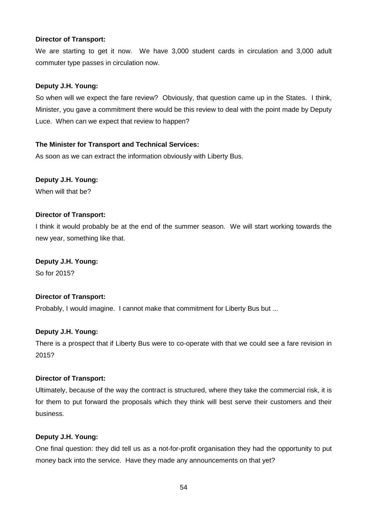#### **Director of Transport:**

We are starting to get it now. We have 3,000 student cards in circulation and 3,000 adult commuter type passes in circulation now.

# **Deputy J.H. Young:**

So when will we expect the fare review? Obviously, that question came up in the States. I think, Minister, you gave a commitment there would be this review to deal with the point made by Deputy Luce. When can we expect that review to happen?

# **The Minister for Transport and Technical Services:**

As soon as we can extract the information obviously with Liberty Bus.

# **Deputy J.H. Young:**

When will that he?

#### **Director of Transport:**

I think it would probably be at the end of the summer season. We will start working towards the new year, something like that.

#### **Deputy J.H. Young:**

So for 2015?

# **Director of Transport:**

Probably, I would imagine. I cannot make that commitment for Liberty Bus but ...

# **Deputy J.H. Young:**

There is a prospect that if Liberty Bus were to co-operate with that we could see a fare revision in 2015?

#### **Director of Transport:**

Ultimately, because of the way the contract is structured, where they take the commercial risk, it is for them to put forward the proposals which they think will best serve their customers and their business.

# **Deputy J.H. Young:**

One final question: they did tell us as a not-for-profit organisation they had the opportunity to put money back into the service. Have they made any announcements on that yet?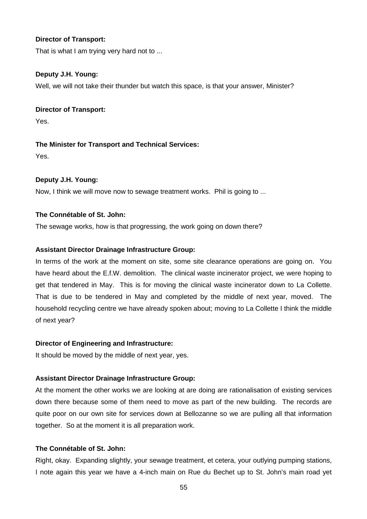#### **Director of Transport:**

That is what I am trying very hard not to ...

## **Deputy J.H. Young:**

Well, we will not take their thunder but watch this space, is that your answer, Minister?

#### **Director of Transport:**

Yes.

# **The Minister for Transport and Technical Services:**

Yes.

# **Deputy J.H. Young:**

Now, I think we will move now to sewage treatment works. Phil is going to ...

### **The Connétable of St. John:**

The sewage works, how is that progressing, the work going on down there?

# **Assistant Director Drainage Infrastructure Group:**

In terms of the work at the moment on site, some site clearance operations are going on. You have heard about the E.f.W. demolition. The clinical waste incinerator project, we were hoping to get that tendered in May. This is for moving the clinical waste incinerator down to La Collette. That is due to be tendered in May and completed by the middle of next year, moved. The household recycling centre we have already spoken about; moving to La Collette I think the middle of next year?

#### **Director of Engineering and Infrastructure:**

It should be moved by the middle of next year, yes.

#### **Assistant Director Drainage Infrastructure Group:**

At the moment the other works we are looking at are doing are rationalisation of existing services down there because some of them need to move as part of the new building. The records are quite poor on our own site for services down at Bellozanne so we are pulling all that information together. So at the moment it is all preparation work.

# **The Connétable of St. John:**

Right, okay. Expanding slightly, your sewage treatment, et cetera, your outlying pumping stations, I note again this year we have a 4-inch main on Rue du Bechet up to St. John's main road yet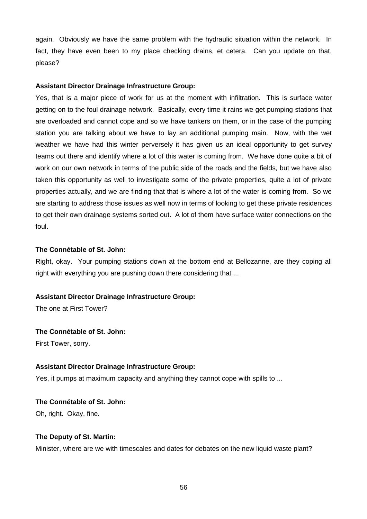again. Obviously we have the same problem with the hydraulic situation within the network. In fact, they have even been to my place checking drains, et cetera. Can you update on that, please?

#### **Assistant Director Drainage Infrastructure Group:**

Yes, that is a major piece of work for us at the moment with infiltration. This is surface water getting on to the foul drainage network. Basically, every time it rains we get pumping stations that are overloaded and cannot cope and so we have tankers on them, or in the case of the pumping station you are talking about we have to lay an additional pumping main. Now, with the wet weather we have had this winter perversely it has given us an ideal opportunity to get survey teams out there and identify where a lot of this water is coming from. We have done quite a bit of work on our own network in terms of the public side of the roads and the fields, but we have also taken this opportunity as well to investigate some of the private properties, quite a lot of private properties actually, and we are finding that that is where a lot of the water is coming from. So we are starting to address those issues as well now in terms of looking to get these private residences to get their own drainage systems sorted out. A lot of them have surface water connections on the foul.

#### **The Connétable of St. John:**

Right, okay. Your pumping stations down at the bottom end at Bellozanne, are they coping all right with everything you are pushing down there considering that ...

#### **Assistant Director Drainage Infrastructure Group:**

The one at First Tower?

#### **The Connétable of St. John:**

First Tower, sorry.

#### **Assistant Director Drainage Infrastructure Group:**

Yes, it pumps at maximum capacity and anything they cannot cope with spills to ...

# **The Connétable of St. John:**

Oh, right. Okay, fine.

#### **The Deputy of St. Martin:**

Minister, where are we with timescales and dates for debates on the new liquid waste plant?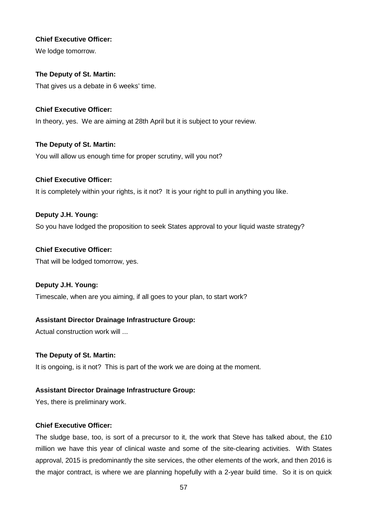# **Chief Executive Officer:**

We lodge tomorrow.

# **The Deputy of St. Martin:**

That gives us a debate in 6 weeks' time.

# **Chief Executive Officer:**

In theory, yes. We are aiming at 28th April but it is subject to your review.

# **The Deputy of St. Martin:**

You will allow us enough time for proper scrutiny, will you not?

# **Chief Executive Officer:**

It is completely within your rights, is it not? It is your right to pull in anything you like.

# **Deputy J.H. Young:**

So you have lodged the proposition to seek States approval to your liquid waste strategy?

# **Chief Executive Officer:**

That will be lodged tomorrow, yes.

# **Deputy J.H. Young:**

Timescale, when are you aiming, if all goes to your plan, to start work?

# **Assistant Director Drainage Infrastructure Group:**

Actual construction work will ...

# **The Deputy of St. Martin:**

It is ongoing, is it not? This is part of the work we are doing at the moment.

# **Assistant Director Drainage Infrastructure Group:**

Yes, there is preliminary work.

# **Chief Executive Officer:**

The sludge base, too, is sort of a precursor to it, the work that Steve has talked about, the £10 million we have this year of clinical waste and some of the site-clearing activities. With States approval, 2015 is predominantly the site services, the other elements of the work, and then 2016 is the major contract, is where we are planning hopefully with a 2-year build time. So it is on quick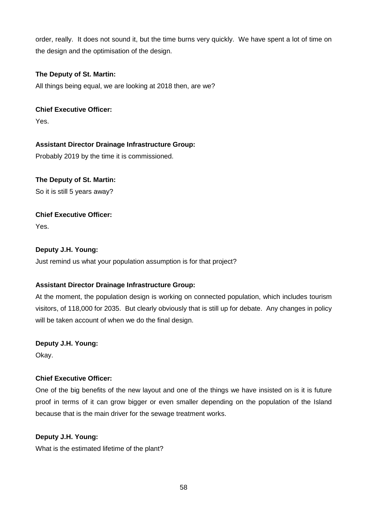order, really. It does not sound it, but the time burns very quickly. We have spent a lot of time on the design and the optimisation of the design.

# **The Deputy of St. Martin:**

All things being equal, we are looking at 2018 then, are we?

# **Chief Executive Officer:**

Yes.

# **Assistant Director Drainage Infrastructure Group:**

Probably 2019 by the time it is commissioned.

# **The Deputy of St. Martin:**

So it is still 5 years away?

# **Chief Executive Officer:**

Yes.

# **Deputy J.H. Young:**

Just remind us what your population assumption is for that project?

# **Assistant Director Drainage Infrastructure Group:**

At the moment, the population design is working on connected population, which includes tourism visitors, of 118,000 for 2035. But clearly obviously that is still up for debate. Any changes in policy will be taken account of when we do the final design.

#### **Deputy J.H. Young:**

Okay.

# **Chief Executive Officer:**

One of the big benefits of the new layout and one of the things we have insisted on is it is future proof in terms of it can grow bigger or even smaller depending on the population of the Island because that is the main driver for the sewage treatment works.

# **Deputy J.H. Young:**

What is the estimated lifetime of the plant?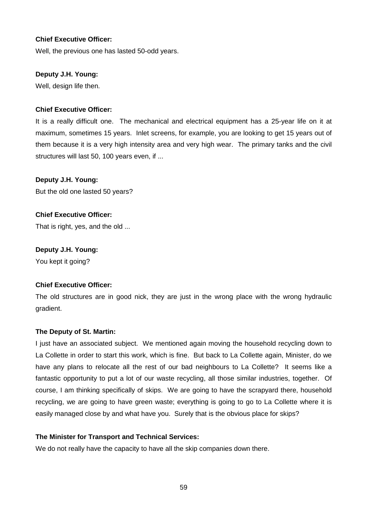#### **Chief Executive Officer:**

Well, the previous one has lasted 50-odd years.

## **Deputy J.H. Young:**

Well, design life then.

# **Chief Executive Officer:**

It is a really difficult one. The mechanical and electrical equipment has a 25-year life on it at maximum, sometimes 15 years. Inlet screens, for example, you are looking to get 15 years out of them because it is a very high intensity area and very high wear. The primary tanks and the civil structures will last 50, 100 years even, if ...

**Deputy J.H. Young:** But the old one lasted 50 years?

**Chief Executive Officer:** That is right, yes, and the old ...

**Deputy J.H. Young:** You kept it going?

#### **Chief Executive Officer:**

The old structures are in good nick, they are just in the wrong place with the wrong hydraulic gradient.

#### **The Deputy of St. Martin:**

I just have an associated subject. We mentioned again moving the household recycling down to La Collette in order to start this work, which is fine. But back to La Collette again, Minister, do we have any plans to relocate all the rest of our bad neighbours to La Collette? It seems like a fantastic opportunity to put a lot of our waste recycling, all those similar industries, together. Of course, I am thinking specifically of skips. We are going to have the scrapyard there, household recycling, we are going to have green waste; everything is going to go to La Collette where it is easily managed close by and what have you. Surely that is the obvious place for skips?

#### **The Minister for Transport and Technical Services:**

We do not really have the capacity to have all the skip companies down there.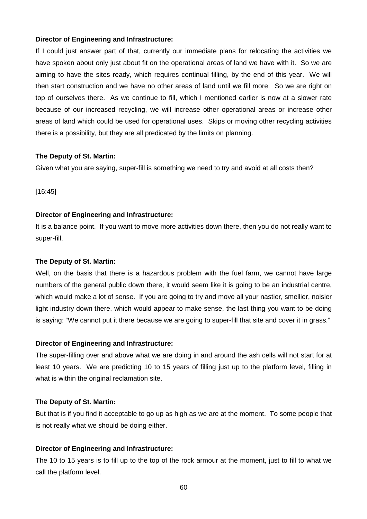If I could just answer part of that, currently our immediate plans for relocating the activities we have spoken about only just about fit on the operational areas of land we have with it. So we are aiming to have the sites ready, which requires continual filling, by the end of this year. We will then start construction and we have no other areas of land until we fill more. So we are right on top of ourselves there. As we continue to fill, which I mentioned earlier is now at a slower rate because of our increased recycling, we will increase other operational areas or increase other areas of land which could be used for operational uses. Skips or moving other recycling activities there is a possibility, but they are all predicated by the limits on planning.

#### **The Deputy of St. Martin:**

Given what you are saying, super-fill is something we need to try and avoid at all costs then?

[16:45]

#### **Director of Engineering and Infrastructure:**

It is a balance point. If you want to move more activities down there, then you do not really want to super-fill.

#### **The Deputy of St. Martin:**

Well, on the basis that there is a hazardous problem with the fuel farm, we cannot have large numbers of the general public down there, it would seem like it is going to be an industrial centre, which would make a lot of sense. If you are going to try and move all your nastier, smellier, noisier light industry down there, which would appear to make sense, the last thing you want to be doing is saying: "We cannot put it there because we are going to super-fill that site and cover it in grass."

#### **Director of Engineering and Infrastructure:**

The super-filling over and above what we are doing in and around the ash cells will not start for at least 10 years. We are predicting 10 to 15 years of filling just up to the platform level, filling in what is within the original reclamation site.

#### **The Deputy of St. Martin:**

But that is if you find it acceptable to go up as high as we are at the moment. To some people that is not really what we should be doing either.

#### **Director of Engineering and Infrastructure:**

The 10 to 15 years is to fill up to the top of the rock armour at the moment, just to fill to what we call the platform level.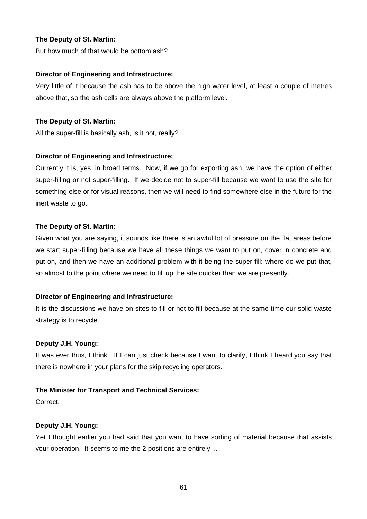But how much of that would be bottom ash?

#### **Director of Engineering and Infrastructure:**

Very little of it because the ash has to be above the high water level, at least a couple of metres above that, so the ash cells are always above the platform level.

#### **The Deputy of St. Martin:**

All the super-fill is basically ash, is it not, really?

#### **Director of Engineering and Infrastructure:**

Currently it is, yes, in broad terms. Now, if we go for exporting ash, we have the option of either super-filling or not super-filling. If we decide not to super-fill because we want to use the site for something else or for visual reasons, then we will need to find somewhere else in the future for the inert waste to go.

#### **The Deputy of St. Martin:**

Given what you are saying, it sounds like there is an awful lot of pressure on the flat areas before we start super-filling because we have all these things we want to put on, cover in concrete and put on, and then we have an additional problem with it being the super-fill: where do we put that, so almost to the point where we need to fill up the site quicker than we are presently.

#### **Director of Engineering and Infrastructure:**

It is the discussions we have on sites to fill or not to fill because at the same time our solid waste strategy is to recycle.

#### **Deputy J.H. Young:**

It was ever thus, I think. If I can just check because I want to clarify, I think I heard you say that there is nowhere in your plans for the skip recycling operators.

#### **The Minister for Transport and Technical Services:**

Correct.

#### **Deputy J.H. Young:**

Yet I thought earlier you had said that you want to have sorting of material because that assists your operation. It seems to me the 2 positions are entirely ...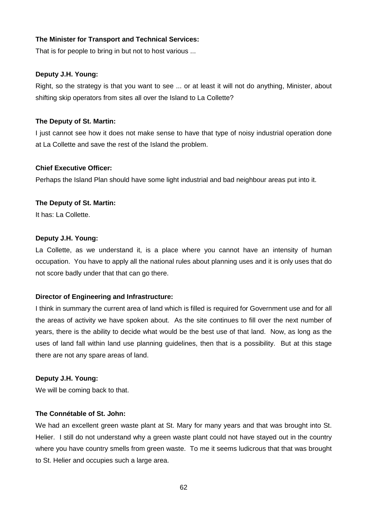## **The Minister for Transport and Technical Services:**

That is for people to bring in but not to host various ...

#### **Deputy J.H. Young:**

Right, so the strategy is that you want to see ... or at least it will not do anything, Minister, about shifting skip operators from sites all over the Island to La Collette?

## **The Deputy of St. Martin:**

I just cannot see how it does not make sense to have that type of noisy industrial operation done at La Collette and save the rest of the Island the problem.

#### **Chief Executive Officer:**

Perhaps the Island Plan should have some light industrial and bad neighbour areas put into it.

# **The Deputy of St. Martin:**

It has: La Collette.

#### **Deputy J.H. Young:**

La Collette, as we understand it, is a place where you cannot have an intensity of human occupation. You have to apply all the national rules about planning uses and it is only uses that do not score badly under that that can go there.

#### **Director of Engineering and Infrastructure:**

I think in summary the current area of land which is filled is required for Government use and for all the areas of activity we have spoken about. As the site continues to fill over the next number of years, there is the ability to decide what would be the best use of that land. Now, as long as the uses of land fall within land use planning guidelines, then that is a possibility. But at this stage there are not any spare areas of land.

#### **Deputy J.H. Young:**

We will be coming back to that.

#### **The Connétable of St. John:**

We had an excellent green waste plant at St. Mary for many years and that was brought into St. Helier. I still do not understand why a green waste plant could not have stayed out in the country where you have country smells from green waste. To me it seems ludicrous that that was brought to St. Helier and occupies such a large area.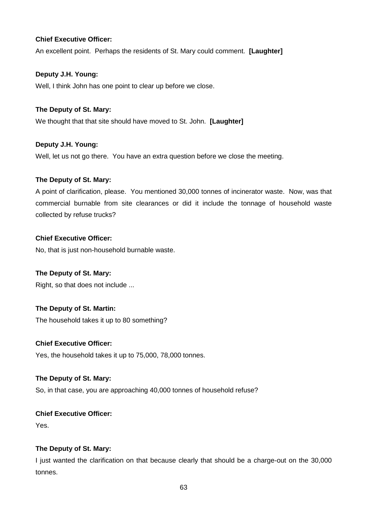# **Chief Executive Officer:**

An excellent point. Perhaps the residents of St. Mary could comment. **[Laughter]**

# **Deputy J.H. Young:**

Well, I think John has one point to clear up before we close.

# **The Deputy of St. Mary:**

We thought that that site should have moved to St. John. **[Laughter]**

# **Deputy J.H. Young:**

Well, let us not go there. You have an extra question before we close the meeting.

# **The Deputy of St. Mary:**

A point of clarification, please. You mentioned 30,000 tonnes of incinerator waste. Now, was that commercial burnable from site clearances or did it include the tonnage of household waste collected by refuse trucks?

# **Chief Executive Officer:**

No, that is just non-household burnable waste.

#### **The Deputy of St. Mary:**

Right, so that does not include ...

# **The Deputy of St. Martin:**

The household takes it up to 80 something?

### **Chief Executive Officer:**

Yes, the household takes it up to 75,000, 78,000 tonnes.

#### **The Deputy of St. Mary:**

So, in that case, you are approaching 40,000 tonnes of household refuse?

# **Chief Executive Officer:**

Yes.

# **The Deputy of St. Mary:**

I just wanted the clarification on that because clearly that should be a charge-out on the 30,000 tonnes.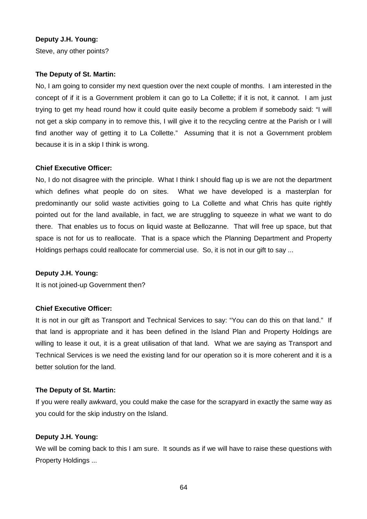#### **Deputy J.H. Young:**

Steve, any other points?

#### **The Deputy of St. Martin:**

No, I am going to consider my next question over the next couple of months. I am interested in the concept of if it is a Government problem it can go to La Collette; if it is not, it cannot. I am just trying to get my head round how it could quite easily become a problem if somebody said: "I will not get a skip company in to remove this, I will give it to the recycling centre at the Parish or I will find another way of getting it to La Collette." Assuming that it is not a Government problem because it is in a skip I think is wrong.

#### **Chief Executive Officer:**

No, I do not disagree with the principle. What I think I should flag up is we are not the department which defines what people do on sites. What we have developed is a masterplan for predominantly our solid waste activities going to La Collette and what Chris has quite rightly pointed out for the land available, in fact, we are struggling to squeeze in what we want to do there. That enables us to focus on liquid waste at Bellozanne. That will free up space, but that space is not for us to reallocate. That is a space which the Planning Department and Property Holdings perhaps could reallocate for commercial use. So, it is not in our gift to say ...

#### **Deputy J.H. Young:**

It is not joined-up Government then?

#### **Chief Executive Officer:**

It is not in our gift as Transport and Technical Services to say: "You can do this on that land." If that land is appropriate and it has been defined in the Island Plan and Property Holdings are willing to lease it out, it is a great utilisation of that land. What we are saying as Transport and Technical Services is we need the existing land for our operation so it is more coherent and it is a better solution for the land.

#### **The Deputy of St. Martin:**

If you were really awkward, you could make the case for the scrapyard in exactly the same way as you could for the skip industry on the Island.

#### **Deputy J.H. Young:**

We will be coming back to this I am sure. It sounds as if we will have to raise these questions with Property Holdings ...